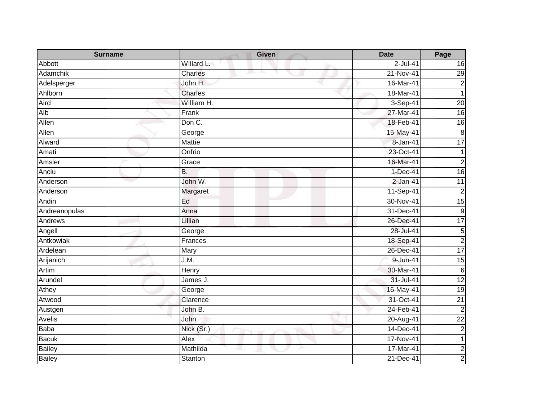| <b>Surname</b>  | <b>Given</b>     | <b>Date</b>   | Page            |
|-----------------|------------------|---------------|-----------------|
| Abbott          | Willard L.       | $2$ -Jul-41   | 16              |
| <b>Adamchik</b> | Charles          | 21-Nov-41     | 29              |
| Adelsperger     | John H.          | 16-Mar-41     | $\overline{2}$  |
| Ahlborn         | Charles          | 18-Mar-41     | $\mathbf 1$     |
| Aird            | William H.       | 3-Sep-41      | $\overline{20}$ |
| Alb             | Frank            | 27-Mar-41     | $\overline{16}$ |
| Allen           | Don C.           | 18-Feb-41     | $\overline{16}$ |
| Allen           | George           | 15-May-41     | $\bf 8$         |
| Alward          | <b>Mattie</b>    | 8-Jan-41      | 17              |
| Amati           | Onfrio           | 23-Oct-41     | 1               |
| Amsler          | Grace            | 16-Mar-41     | $\overline{a}$  |
| Anciu           | $\overline{B}$ . | $1-Dec-41$    | 16              |
| Anderson        | John W.          | $2$ -Jan-41   | $\overline{11}$ |
| Anderson        | Margaret         | 11-Sep-41     | $\overline{c}$  |
| Andin           | Ed               | 30-Nov-41     | 15              |
| Andreanopulas   | Anna             | 31-Dec-41     | ဖ               |
| Andrews         | Lillian          | 26-Dec-41     | 17              |
| Angell          | George           | 28-Jul-41     | $\overline{5}$  |
| Antkowiak       | Frances          | 18-Sep-41     | $\overline{c}$  |
| Ardelean        | Mary             | 26-Dec-41     | 17              |
| Arijanich       | J.M.             | 9-Jun-41      | 15              |
| Artim           | <b>Henry</b>     | 30-Mar-41     | $\,6$           |
| Arundel         | James J.         | 31-Jul-41     | $\overline{12}$ |
| Athey           | George           | 16-May-41     | $\overline{19}$ |
| Atwood          | Clarence         | 31-Oct-41     | $\overline{21}$ |
| Austgen         | John B.          | 24-Feb-41     | $\overline{2}$  |
| Avelis          | John             | $20 - Aug-41$ | $\overline{22}$ |
| <b>Baba</b>     | Nick (Sr.)       | 14-Dec-41     | $\overline{c}$  |
| <b>Bacuk</b>    | Alex             | 17-Nov-41     | 1               |
| <b>Bailey</b>   | Mathilda         | 17-Mar-41     | $\overline{c}$  |
| <b>Bailey</b>   | Stanton          | 21-Dec-41     | 2 <sub>l</sub>  |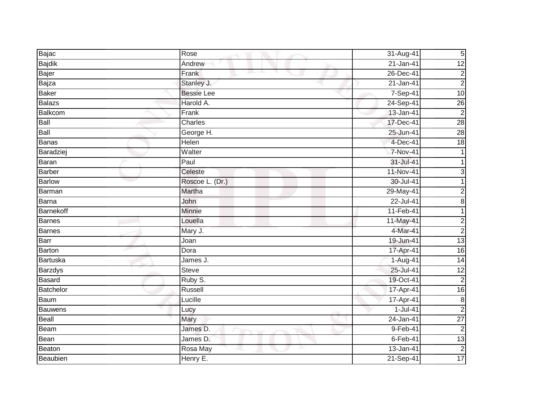| Bajac          | Rose              | 31-Aug-41   | $5\overline{)}$ |
|----------------|-------------------|-------------|-----------------|
| Bajdik         | Andrew            | $21-Jan-41$ | $\overline{12}$ |
| Bajer          | Frank<br>and the  | 26-Dec-41   | $\mathbf{2}$    |
| Bajza          | Stanley J.        | 21-Jan-41   | $\overline{c}$  |
| <b>Baker</b>   | <b>Bessie Lee</b> | 7-Sep-41    | 10              |
| <b>Balazs</b>  | Harold A.         | 24-Sep-41   | 26              |
| <b>Balkcom</b> | Frank             | 13-Jan-41   | $\overline{2}$  |
| Ball           | Charles           | 17-Dec-41   | 28              |
| <b>Ball</b>    | George H.         | 25-Jun-41   | 28              |
| <b>Banas</b>   | Helen             | $4-Dec-41$  | 18              |
| Baradziej      | Walter            | 7-Nov-41    |                 |
| <b>Baran</b>   | Paul              | 31-Jul-41   |                 |
| <b>Barber</b>  | Celeste           | 11-Nov-41   | $\overline{3}$  |
| <b>Barlow</b>  | Roscoe L. (Dr.)   | 30-Jul-41   |                 |
| Barman         | Martha            | 29-May-41   | 2               |
| Barna          | John              | 22-Jul-41   | $\bf{8}$        |
| Barnekoff      | <b>Minnie</b>     | 11-Feb-41   | 1               |
| Barnes         | Louella           | 11-May-41   | $\mathbf{2}$    |
| <b>Barnes</b>  | Mary J.           | 4-Mar-41    | $\overline{2}$  |
| Barr           | Joan              | 19-Jun-41   | 13              |
| Barton         | Dora              | 17-Apr-41   | 16              |
| Bartuska       | James J.          | 1-Aug-41    | 14              |
| <b>Barzdys</b> | <b>Steve</b>      | 25-Jul-41   | $\overline{12}$ |
| <b>Basard</b>  | Ruby S.           | 19-Oct-41   | $\overline{2}$  |
| Batchelor      | Russell           | 17-Apr-41   | 16              |
| <b>Baum</b>    | Lucille           | 17-Apr-41   | $\infty$        |
| <b>Bauwens</b> | Lucy              | $1-Jul-41$  | $\overline{2}$  |
| Beall          | Mary              | 24-Jan-41   | $\overline{27}$ |
| Beam           | James D.          | 9-Feb-41    | $\overline{2}$  |
| Bean           | James D.          | $6$ -Feb-41 | 13              |
| Beaton         | Rosa May          | 13-Jan-41   | $\overline{2}$  |
| Beaubien       | Henry E.          | 21-Sep-41   | 17              |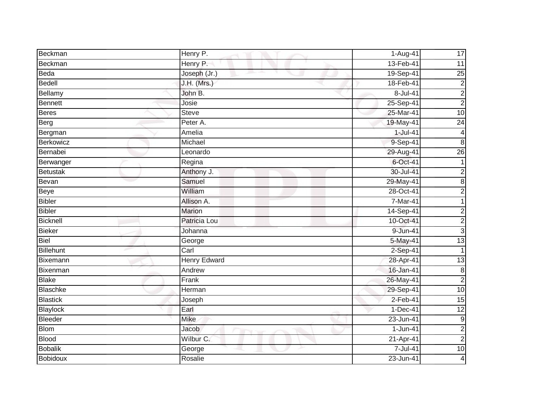| Beckman          | Henry P.            | 1-Aug-41    | 17                      |
|------------------|---------------------|-------------|-------------------------|
| Beckman          | Henry P.            | 13-Feb-41   | 11                      |
| Beda             | Joseph (Jr.)        | 19-Sep-41   | 25                      |
| Bedell           | J.H. (Mrs.)         | 18-Feb-41   | $\overline{c}$          |
| Bellamy          | John B.             | 8-Jul-41    | $\overline{\mathbf{c}}$ |
| <b>Bennett</b>   | Josie               | 25-Sep-41   | $\overline{c}$          |
| <b>Beres</b>     | <b>Steve</b>        | 25-Mar-41   | 10                      |
| Berg             | Peter A.            | 19-May-41   | $\overline{24}$         |
| Bergman          | Amelia              | $1$ -Jul-41 | 4                       |
| <b>Berkowicz</b> | Michael             | 9-Sep-41    | 8                       |
| Bernabei         | Leonardo            | 29-Aug-41   | 26                      |
| Berwanger        | Regina              | 6-Oct-41    |                         |
| <b>Betustak</b>  | Anthony J.          | 30-Jul-41   | $\overline{c}$          |
| Bevan            | Samuel              | 29-May-41   | $\bf{8}$                |
| <b>Beye</b>      | William             | 28-Oct-41   | $\overline{c}$          |
| <b>Bibler</b>    | Allison A.          | 7-Mar-41    |                         |
| <b>Bibler</b>    | <b>Marion</b>       | 14-Sep-41   | $\overline{c}$          |
| <b>Bicknell</b>  | Patricia Lou        | 10-Oct-41   | $\overline{c}$          |
| <b>Bieker</b>    | Johanna             | 9-Jun-41    | دن                      |
| <b>Biel</b>      | George              | 5-May-41    | 13                      |
| <b>Billehunt</b> | Carl                | 2-Sep-41    | 1                       |
| <b>Bixemann</b>  | <b>Henry Edward</b> | 28-Apr-41   | 13                      |
| Bixenman         | Andrew              | 16-Jan-41   | $\boldsymbol{8}$        |
| <b>Blake</b>     | Frank               | 26-May-41   | $\overline{c}$          |
| <b>Blaschke</b>  | Herman              | 29-Sep-41   | 10                      |
| <b>Blastick</b>  | Joseph              | $2-Feb-41$  | $\overline{15}$         |
| <b>Blaylock</b>  | Earl                | 1-Dec-41    | $\overline{12}$         |
| Bleeder          | <b>Mike</b>         | 23-Jun-41   | 9                       |
| <b>Blom</b>      | Jacob               | 1-Jun-41    | $\overline{c}$          |
| <b>Blood</b>     | Wilbur C.           | 21-Apr-41   | $\overline{c}$          |
| <b>Bobalik</b>   | George              | 7-Jul-41    | 10                      |
| <b>Bobidoux</b>  | Rosalie             | 23-Jun-41   | 4                       |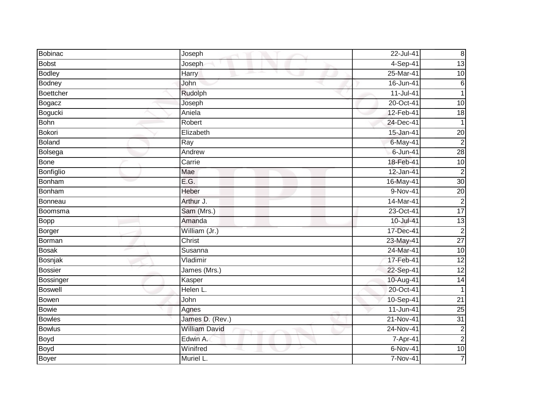| <b>Bobinac</b>   | Joseph               | 22-Jul-41   | $\boldsymbol{8}$ |
|------------------|----------------------|-------------|------------------|
| <b>Bobst</b>     | Joseph               | $4-Sep-41$  | 13               |
| <b>Bodley</b>    | Harry                | 25-Mar-41   | $\overline{10}$  |
| <b>Bodney</b>    | John                 | 16-Jun-41   | $\,6$            |
| <b>Boettcher</b> | Rudolph              | 11-Jul-41   | $\mathbf{1}$     |
| <b>Bogacz</b>    | Joseph               | 20-Oct-41   | 10               |
| Bogucki          | Aniela               | 12-Feb-41   | $\frac{1}{8}$    |
| <b>Bohn</b>      | Robert               | 24-Dec-41   |                  |
| Bokori           | Elizabeth            | 15-Jan-41   | 20               |
| <b>Boland</b>    | Ray                  | 6-May-41    | $\overline{2}$   |
| Bolsega          | Andrew               | 6-Jun-41    | 28               |
| <b>Bone</b>      | Carrie               | 18-Feb-41   | $\overline{10}$  |
| Bonfiglio        | Mae                  | 12-Jan-41   | $\overline{2}$   |
| <b>Bonham</b>    | E.G.                 | 16-May-41   | 30               |
| Bonham           | Heber                | 9-Nov-41    | 20               |
| <b>Bonneau</b>   | Arthur J.            | 14-Mar-41   | $\overline{2}$   |
| Boomsma          | Sam (Mrs.)           | 23-Oct-41   | 17               |
| Bopp             | Amanda               | 10-Jul-41   | 13               |
| <b>Borger</b>    | William (Jr.)        | 17-Dec-41   | $\overline{2}$   |
| Borman           | Christ               | 23-May-41   | $\overline{27}$  |
| <b>Bosak</b>     | Susanna              | 24-Mar-41   | $\overline{10}$  |
| Bosnjak          | Vladimir             | 17-Feb-41   | 12               |
| <b>Bossier</b>   | James (Mrs.)         | 22-Sep-41   | $\overline{12}$  |
| Bossinger        | Kasper               | 10-Aug-41   | 14               |
| <b>Boswell</b>   | Helen L.             | 20-Oct-41   |                  |
| Bowen            | John                 | 10-Sep-41   | $\overline{21}$  |
| <b>Bowie</b>     | Agnes                | $11-Jun-41$ | 25               |
| <b>Bowles</b>    | James D. (Rev.)      | 21-Nov-41   | 31               |
| <b>Bowlus</b>    | <b>William David</b> | 24-Nov-41   | $\overline{c}$   |
| Boyd             | Edwin A.             | 7-Apr-41    | $\overline{c}$   |
| Boyd             | Winifred             | $6-Nov-41$  | 10               |
| <b>Boyer</b>     | Muriel L.            | 7-Nov-41    | $\overline{7}$   |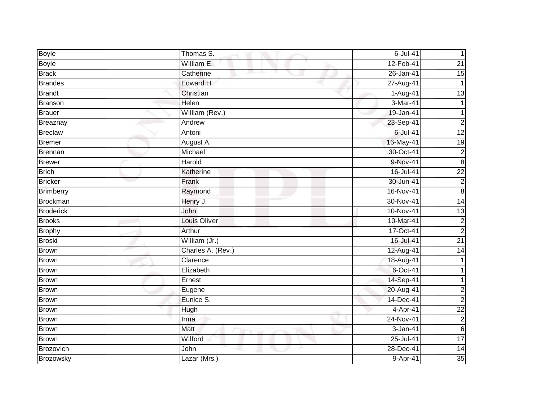| Boyle            | Thomas S.         | $6$ -Jul-41 |                 |
|------------------|-------------------|-------------|-----------------|
| <b>Boyle</b>     | William E.        | 12-Feb-41   | 21              |
| <b>Brack</b>     | Catherine         | 26-Jan-41   | $\overline{15}$ |
| <b>Brandes</b>   | Edward H.         | 27-Aug-41   |                 |
| <b>Brandt</b>    | Christian         | 1-Aug-41    | $\overline{13}$ |
| Branson          | Helen             | 3-Mar-41    |                 |
| Brauer           | William (Rev.)    | 19-Jan-41   |                 |
| Breaznay         | Andrew            | 23-Sep-41   | $\overline{c}$  |
| <b>Breclaw</b>   | Antoni            | $6$ -Jul-41 | $\overline{12}$ |
| <b>Bremer</b>    | August A.         | 16-May-41   | 19              |
| Brennan          | Michael           | 30-Oct-41   | $\overline{c}$  |
| <b>Brewer</b>    | Harold            | 9-Nov-41    | $\bf 8$         |
| <b>Brich</b>     | Katherine         | 16-Jul-41   | $\overline{22}$ |
| <b>Bricker</b>   | Frank             | 30-Jun-41   | $\overline{2}$  |
| <b>Brimberry</b> | Raymond           | 16-Nov-41   | 8               |
| <b>Brockman</b>  | Henry J.          | 30-Nov-41   | 14              |
| <b>Broderick</b> | John              | 10-Nov-41   | $\overline{3}$  |
| <b>Brooks</b>    | Louis Oliver      | 10-Mar-41   | $\overline{c}$  |
| <b>Brophy</b>    | Arthur            | 17-Oct-41   | $\overline{2}$  |
| <b>Broski</b>    | William (Jr.)     | 16-Jul-41   | $\overline{21}$ |
| Brown            | Charles A. (Rev.) | 12-Aug-41   | 14              |
| <b>Brown</b>     | Clarence          | 18-Aug-41   |                 |
| <b>Brown</b>     | Elizabeth         | 6-Oct-41    |                 |
| Brown            | Ernest            | 14-Sep-41   |                 |
| Brown            | Eugene            | 20-Aug-41   | $\overline{c}$  |
| <b>Brown</b>     | Eunice S.         | 14-Dec-41   | $\overline{2}$  |
| <b>Brown</b>     | Hugh              | 4-Apr-41    | $\overline{22}$ |
| Brown            | Irma              | 24-Nov-41   | $\overline{c}$  |
| <b>Brown</b>     | <b>Matt</b>       | 3-Jan-41    | $\,6$           |
| <b>Brown</b>     | Wilford           | 25-Jul-41   | 17              |
| Brozovich        | John              | 28-Dec-41   | $\overline{14}$ |
| Brozowsky        | Lazar (Mrs.)      | 9-Apr-41    | 35              |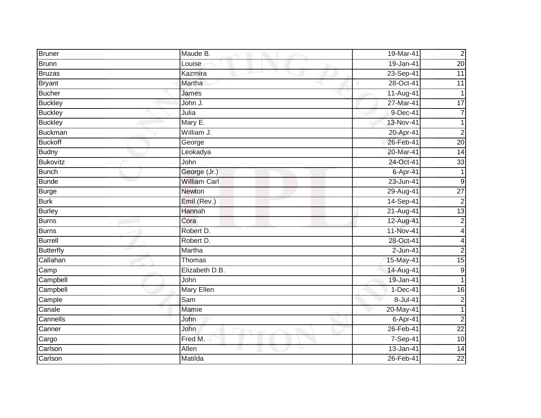| <b>Bruner</b>    | Maude B.            | 19-Mar-41  | $\overline{c}$          |
|------------------|---------------------|------------|-------------------------|
| Brunn            | Louise              | 19-Jan-41  | $\overline{20}$         |
| <b>Bruzas</b>    | Kazmira             | 23-Sep-41  | $\overline{11}$         |
| <b>Bryant</b>    | Martha              | 28-Oct-41  | 11                      |
| <b>Bucher</b>    | James               | 11-Aug-41  | 1                       |
| <b>Buckley</b>   | John J.             | 27-Mar-41  | 17                      |
| <b>Buckley</b>   | Julia               | 9-Dec-41   | $\overline{7}$          |
| <b>Buckley</b>   | Mary E.             | 13-Nov-41  |                         |
| Buckman          | William J.          | 20-Apr-41  | $\overline{2}$          |
| <b>Buckoff</b>   | George              | 26-Feb-41  | $\overline{20}$         |
| <b>Budny</b>     | Leokadya            | 20-Mar-41  | 14                      |
| <b>Bukovitz</b>  | John                | 24-Oct-41  | 33                      |
| <b>Bunch</b>     | George (Jr.)        | 6-Apr-41   |                         |
| <b>Bunde</b>     | <b>William Carl</b> | 23-Jun-41  | $\boldsymbol{9}$        |
| <b>Burge</b>     | <b>Newton</b>       | 29-Aug-41  | $\overline{27}$         |
| <b>Burk</b>      | Emil (Rev.)         | 14-Sep-41  | $\overline{2}$          |
| <b>Burley</b>    | Hannah              | 21-Aug-41  | 13                      |
| Burns            | Cora                | 12-Aug-41  | $\overline{c}$          |
| Burns            | Robert D.           | 11-Nov-41  | $\overline{\mathbf{4}}$ |
| <b>Burrell</b>   | Robert D.           | 28-Oct-41  | 4                       |
| <b>Butterfly</b> | Martha              | 2-Jun-41   | $\overline{c}$          |
| Callahan         | Thomas              | 15-May-41  | 15                      |
| Camp             | Elizabeth D.B.      | 14-Aug-41  | $\boldsymbol{9}$        |
| Campbell         | John                | 19-Jan-41  | 1                       |
| Campbell         | <b>Mary Ellen</b>   | $1-Dec-41$ | 16                      |
| Cample           | Sam                 | 8-Jul-41   | $\overline{2}$          |
| Canale           | Mamie               | 20-May-41  | $\mathbf{1}$            |
| Cannells         | John                | 6-Apr-41   | $\overline{2}$          |
| Canner           | John                | 26-Feb-41  | $\overline{22}$         |
| Cargo            | Fred M.             | 7-Sep-41   | 10                      |
| Carlson          | Allen               | 13-Jan-41  | $\overline{14}$         |
| Carlson          | Matilda             | 26-Feb-41  | $\overline{22}$         |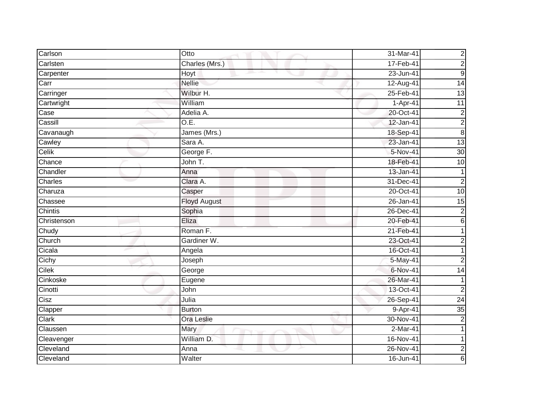| Carlson        | Otto                | 31-Mar-41       | $\overline{c}$   |
|----------------|---------------------|-----------------|------------------|
| Carlsten       | Charles (Mrs.)      | 17-Feb-41       | $\overline{c}$   |
| Carpenter      | Hoyt                | 23-Jun-41       | $\boldsymbol{9}$ |
| Carr           | <b>Nellie</b>       | 12-Aug-41       | $\overline{14}$  |
| Carringer      | Wilbur H.           | 25-Feb-41       | $\overline{13}$  |
| Cartwright     | William             | 1-Apr-41        | 11               |
| Case           | Adelia A.           | 20-Oct-41       | $\overline{c}$   |
| Cassill        | O.E.                | 12-Jan-41       | $\overline{c}$   |
| Cavanaugh      | James (Mrs.)        | 18-Sep-41       | $\bf 8$          |
| Cawley         | Sara A.             | 23-Jan-41       | 13               |
| Celik          | George F.           | 5-Nov-41        | 30               |
| Chance         | John T.             | 18-Feb-41       | 10               |
| Chandler       | Anna                | 13-Jan-41       |                  |
| Charles        | Clara A.            | 31-Dec-41       | $\overline{2}$   |
| Charuza        | Casper              | 20-Oct-41       | 10               |
| Chassee        | <b>Floyd August</b> | 26-Jan-41       | 15               |
| <b>Chintis</b> | Sophia              | 26-Dec-41       | $\overline{c}$   |
| Christenson    | Eliza               | 20-Feb-41       | 6                |
| Chudy          | Roman F.            | 21-Feb-41       |                  |
| Church         | Gardiner W.         | 23-Oct-41       | 2                |
| Cicala         | Angela              | 16-Oct-41       |                  |
| Cichy          | Joseph              | 5-May-41        | $\overline{2}$   |
| Cilek          | George              | 6-Nov-41        | $\overline{14}$  |
| Cinkoske       | Eugene              | 26-Mar-41       | 1                |
| Cinotti        | John                | 13-Oct-41       | $\overline{2}$   |
| Cisz           | Julia               | 26-Sep-41       | 24               |
| Clapper        | <b>Burton</b>       | 9-Apr-41        | 35               |
| Clark          | Ora Leslie          | $30 - Nov - 41$ | $\overline{2}$   |
| Claussen       | Mary                | 2-Mar-41        |                  |
| Cleavenger     | William D.          | 16-Nov-41       |                  |
| Cleveland      | Anna                | 26-Nov-41       | $\overline{c}$   |
| Cleveland      | Walter              | 16-Jun-41       | 6                |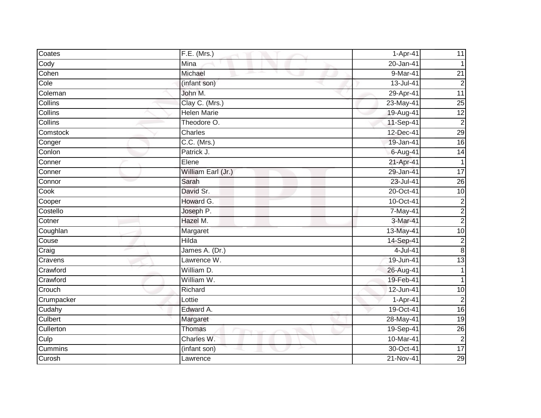| Coates     | F.E. (Mrs.)        | 1-Apr-41    | 11              |
|------------|--------------------|-------------|-----------------|
| Cody       | Mina               | 20-Jan-41   |                 |
| Cohen      | Michael            | $9-Mar-41$  | $\overline{21}$ |
| Cole       | (infant son)       | 13-Jul-41   | $\overline{2}$  |
| Coleman    | John M.            | 29-Apr-41   | $\overline{11}$ |
| Collins    | Clay C. (Mrs.)     | 23-May-41   | $\overline{25}$ |
| Collins    | <b>Helen Marie</b> | 19-Aug-41   | 12              |
| Collins    | Theodore O.        | 11-Sep-41   | $\overline{2}$  |
| Comstock   | Charles            | 12-Dec-41   | 29              |
| Conger     | $C.C.$ (Mrs.)      | 19-Jan-41   | 16              |
| Conlon     | Patrick J.         | $6-Aug-41$  | 14              |
| Conner     | Elene              | 21-Apr-41   | 1               |
| Conner     | William Earl (Jr.) | 29-Jan-41   | $\overline{17}$ |
| Connor     | Sarah              | 23-Jul-41   | $\overline{26}$ |
| Cook       | David Sr.          | 20-Oct-41   | 10              |
| Cooper     | Howard G.          | 10-Oct-41   | $\overline{2}$  |
| Costello   | Joseph P.          | 7-May-41    | $\overline{c}$  |
| Cotner     | Hazel M.           | 3-Mar-41    | $\overline{c}$  |
| Coughlan   | Margaret           | 13-May-41   | 10              |
| Couse      | <b>Hilda</b>       | 14-Sep-41   | $\overline{2}$  |
| Craig      | James A. (Dr.)     | 4-Jul-41    | $\bf 8$         |
| Cravens    | Lawrence W.        | 19-Jun-41   | 13              |
| Crawford   | William D.         | 26-Aug-41   |                 |
| Crawford   | William W.         | 19-Feb-41   |                 |
| Crouch     | Richard            | 12-Jun-41   | 10              |
| Crumpacker | Lottie             | 1-Apr-41    | $\overline{2}$  |
| Cudahy     | Edward A.          | 19-Oct-41   | 16              |
| Culbert    | Margaret           | 28-May-41   | 19              |
| Cullerton  | Thomas             | 19-Sep-41   | $\overline{26}$ |
| Culp       | Charles W.         | $10-Mar-41$ | $\overline{c}$  |
| Cummins    | (infant son)       | 30-Oct-41   | $\overline{17}$ |
| Curosh     | Lawrence           | 21-Nov-41   | 29              |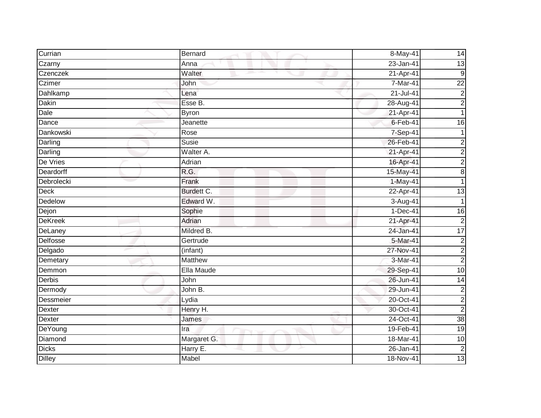| Currian         | Bernard        | 8-May-41       | 14              |
|-----------------|----------------|----------------|-----------------|
| Czarny          | Anna           | 23-Jan-41      | 13              |
| Czenczek        | Walter         | 21-Apr-41      | 9               |
| Czimer          | John           | 7-Mar-41       | $\overline{22}$ |
| Dahlkamp        | Lena           | $21 -$ Jul-41  | $\overline{c}$  |
| Dakin           | Esse B.        | 28-Aug-41      | $\overline{c}$  |
| Dale            | <b>Byron</b>   | 21-Apr-41      |                 |
| Dance           | Jeanette       | $6 - Feb - 41$ | 16              |
| Dankowski       | Rose           | 7-Sep-41       |                 |
| Darling         | Susie          | 26-Feb-41      | $\overline{2}$  |
| Darling         | Walter A.      | 21-Apr-41      | $\overline{a}$  |
| De Vries        | Adrian         | 16-Apr-41      | $\overline{c}$  |
| Deardorff       | R.G.           | $15-May-41$    | $\infty$        |
| Debrolecki      | Frank          | 1-May-41       |                 |
| <b>Deck</b>     | Burdett C.     | 22-Apr-41      | 13              |
| Dedelow         | Edward W.      | 3-Aug-41       |                 |
| Dejon           | Sophie         | $1-Dec-41$     | $\overline{16}$ |
| <b>DeKreek</b>  | Adrian         | 21-Apr-41      | $\overline{c}$  |
| DeLaney         | Mildred B.     | 24-Jan-41      | 17              |
| <b>Delfosse</b> | Gertrude       | 5-Mar-41       | $\mathbf 2$     |
| Delgado         | (infant)       | 27-Nov-41      | $\overline{c}$  |
| Demetary        | <b>Matthew</b> | 3-Mar-41       | $\overline{2}$  |
| Demmon          | Ella Maude     | 29-Sep-41      | $\overline{10}$ |
| Derbis          | John           | 26-Jun-41      | 14              |
| Dermody         | John B.        | 29-Jun-41      | $\overline{c}$  |
| Dessmeier       | Lydia          | 20-Oct-41      | $\overline{c}$  |
| <b>Dexter</b>   | Henry H.       | $30-Oct-41$    | $\overline{2}$  |
| Dexter          | James          | 24-Oct-41      | 38              |
| DeYoung         | Ira            | 19-Feb-41      | 19              |
| Diamond         | Margaret G.    | 18-Mar-41      | 10              |
| <b>Dicks</b>    | Harry E.       | 26-Jan-41      | $\overline{2}$  |
| <b>Dilley</b>   | Mabel          | 18-Nov-41      | 13              |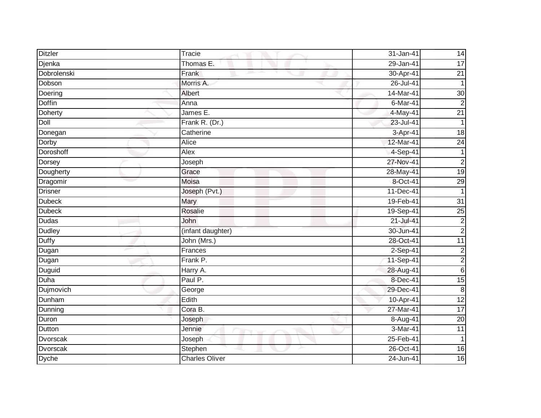| <b>Ditzler</b> | Tracie                | 31-Jan-41     | 14              |
|----------------|-----------------------|---------------|-----------------|
| Djenka         | Thomas E.             | 29-Jan-41     | 17              |
| Dobrolenski    | Frank                 | 30-Apr-41     | $\overline{21}$ |
| Dobson         | Morris A.             | 26-Jul-41     |                 |
| Doering        | Albert                | 14-Mar-41     | 30              |
| <b>Doffin</b>  | Anna                  | 6-Mar-41      | $\overline{2}$  |
| Doherty        | James E.              | $4$ -May-41   | $\overline{21}$ |
| Doll           | Frank R. (Dr.)        | 23-Jul-41     |                 |
| Donegan        | Catherine             | 3-Apr-41      | 18              |
| Dorby          | Alice                 | 12-Mar-41     | 24              |
| Doroshoff      | Alex                  | 4-Sep-41      |                 |
| Dorsey         | Joseph                | 27-Nov-41     | $\overline{c}$  |
| Dougherty      | Grace                 | 28-May-41     | 19              |
| Dragomir       | Moisa                 | 8-Oct-41      | 29              |
| <b>Drisner</b> | Joseph (Pvt.)         | 11-Dec-41     | 1               |
| <b>Dubeck</b>  | Mary                  | 19-Feb-41     | $\overline{31}$ |
| <b>Dubeck</b>  | Rosalie               | 19-Sep-41     | 25              |
| Dudas          | John                  | $21 -$ Jul-41 | $\overline{c}$  |
| Dudley         | (infant daughter)     | 30-Jun-41     | $\overline{2}$  |
| <b>Duffy</b>   | John (Mrs.)           | 28-Oct-41     | 11              |
| Dugan          | Frances               | 2-Sep-41      | $\overline{c}$  |
| Dugan          | Frank P.              | 11-Sep-41     | $\overline{2}$  |
| Duguid         | Harry A.              | 28-Aug-41     | $\,6$           |
| Duha           | Paul P.               | 8-Dec-41      | 15              |
| Dujmovich      | George                | 29-Dec-41     | ထ               |
| Dunham         | Edith                 | 10-Apr-41     | 12              |
| Dunning        | Cora B.               | 27-Mar-41     | 17              |
| Duron          | Joseph                | 8-Aug-41      | $\overline{20}$ |
| Dutton         | Jennie                | 3-Mar-41      | $\overline{11}$ |
| Dvorscak       | Joseph                | 25-Feb-41     | 1               |
| Dvorscak       | Stephen               | 26-Oct-41     | $\overline{16}$ |
| <b>Dyche</b>   | <b>Charles Oliver</b> | 24-Jun-41     | 16              |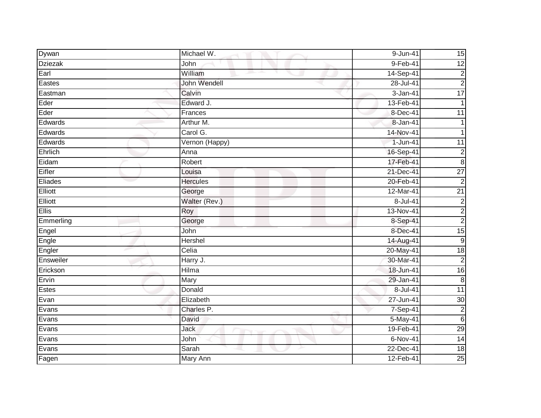| Dywan          | Michael W.         | 9-Jun-41      | 15              |
|----------------|--------------------|---------------|-----------------|
| <b>Dziezak</b> | John               | $9-Feb-41$    | $\overline{12}$ |
| Earl           | William<br>and the | 14-Sep-41     | $\mathbf 2$     |
| Eastes         | John Wendell       | 28-Jul-41     | $\overline{2}$  |
| Eastman        | Calvin             | 3-Jan-41      | 17              |
| Eder           | Edward J.          | 13-Feb-41     | 1               |
| Eder           | Frances            | 8-Dec-41      | 11              |
| Edwards        | Arthur M.          | 8-Jan-41      |                 |
| Edwards        | Carol G.           | 14-Nov-41     |                 |
| Edwards        | Vernon (Happy)     | $1-Jun-41$    | $\overline{11}$ |
| Ehrlich        | Anna               | 16-Sep-41     | $\overline{c}$  |
| Eidam          | Robert             | 17-Feb-41     | $\bf 8$         |
| Eifler         | Louisa             | 21-Dec-41     | $\overline{27}$ |
| Eliades        | <b>Hercules</b>    | 20-Feb-41     | $\overline{2}$  |
| Elliott        | George             | 12-Mar-41     | $\overline{21}$ |
| Elliott        | Walter (Rev.)      | 8-Jul-41      | $\overline{c}$  |
| Ellis          | Roy                | 13-Nov-41     | $\overline{c}$  |
| Emmerling      | George             | 8-Sep-41      | $\overline{2}$  |
| Engel          | John               | 8-Dec-41      | 15              |
| Engle          | Hershel            | 14-Aug-41     | ဖ               |
| Engler         | Celia              | 20-May-41     | 18              |
| Ensweiler      | Harry J.           | 30-Mar-41     | $\overline{2}$  |
| Erickson       | Hilma              | 18-Jun-41     | 16              |
| Ervin          | Mary               | 29-Jan-41     | $\,8\,$         |
| Estes          | Donald             | $8 -$ Jul-41  | $\overline{11}$ |
| Evan           | Elizabeth          | $27 - Jun-41$ | $\overline{30}$ |
| Evans          | Charles P.         | 7-Sep-41      | $\overline{c}$  |
| Evans          | David              | 5-May-41      | $\sigma$        |
| Evans          | Jack               | 19-Feb-41     | 29              |
| Evans          | John               | $6-Nov-41$    | $\overline{14}$ |
| Evans          | Sarah              | 22-Dec-41     | $\frac{1}{8}$   |
| Fagen          | Mary Ann           | 12-Feb-41     | 25              |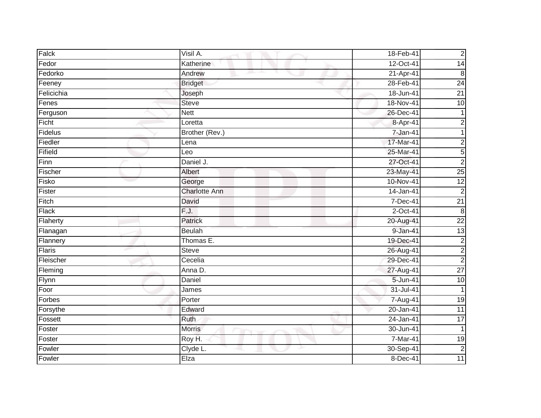| Falck      | Visil A.             | 18-Feb-41     | $\mathbf 2$     |
|------------|----------------------|---------------|-----------------|
| Fedor      | Katherine            | 12-Oct-41     | 14              |
| Fedorko    | Andrew<br>m.         | 21-Apr-41     | $\,8\,$         |
| Feeney     | <b>Bridget</b>       | 28-Feb-41     | 24              |
| Felicichia | Joseph               | 18-Jun-41     | $\overline{21}$ |
| Fenes      | <b>Steve</b>         | 18-Nov-41     | $\overline{10}$ |
| Ferguson   | <b>Nett</b>          | 26-Dec-41     |                 |
| Ficht      | Loretta              | 8-Apr-41      | $\overline{c}$  |
| Fidelus    | Brother (Rev.)       | 7-Jan-41      | 1               |
| Fiedler    | Lena                 | 17-Mar-41     | $\overline{c}$  |
| Fifield    | Leo                  | 25-Mar-41     | 5               |
| Finn       | Daniel J.            | 27-Oct-41     | $\overline{2}$  |
| Fischer    | Albert               | 23-May-41     | 25              |
| Fisko      | George               | 10-Nov-41     | 12              |
| Fister     | <b>Charlotte Ann</b> | 14-Jan-41     | $\overline{c}$  |
| Fitch      | David                | 7-Dec-41      | $\overline{21}$ |
| Flack      | F.J.                 | $2$ -Oct-41   | $\overline{8}$  |
| Flaherty   | Patrick              | 20-Aug-41     | $\overline{22}$ |
| Flanagan   | <b>Beulah</b>        | 9-Jan-41      | 13              |
| Flannery   | Thomas E.            | 19-Dec-41     | $\overline{2}$  |
| Flaris     | Steve                | 26-Aug-41     | $\overline{c}$  |
| Fleischer  | Cecelia              | 29-Dec-41     | $\overline{2}$  |
| Fleming    | Anna D.              | 27-Aug-41     | $\overline{27}$ |
| Flynn      | Daniel               | 5-Jun-41      | 10              |
| Foor       | James                | 31-Jul-41     | $\overline{1}$  |
| Forbes     | Porter               | 7-Aug-41      | $\overline{19}$ |
| Forsythe   | Edward               | $20 - Jan-41$ | $\overline{11}$ |
| Fossett    | Ruth                 | $24$ -Jan-41  | $\overline{17}$ |
| Foster     | <b>Morris</b>        | 30-Jun-41     | $\mathbf{1}$    |
| Foster     | Roy H.               | 7-Mar-41      | 19              |
| Fowler     | Clyde L.             | 30-Sep-41     | $\overline{c}$  |
| Fowler     | Elza                 | 8-Dec-41      | $\overline{11}$ |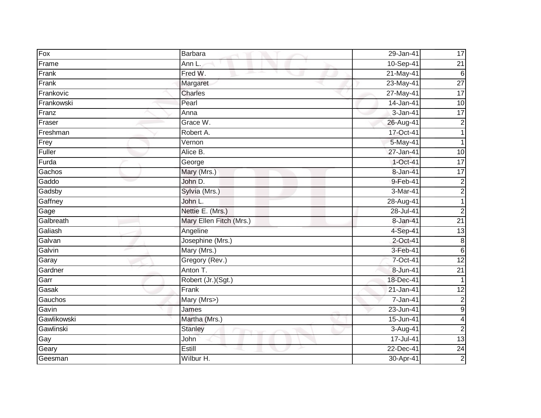| Fox         | <b>Barbara</b>          | 29-Jan-41  | 17              |
|-------------|-------------------------|------------|-----------------|
| Frame       | Ann L.                  | 10-Sep-41  | $\overline{21}$ |
| Frank       | Fred W.                 | 21-May-41  | 6               |
| Frank       | Margaret                | 23-May-41  | $\overline{27}$ |
| Frankovic   | <b>Charles</b>          | 27-May-41  | 17              |
| Frankowski  | Pearl                   | 14-Jan-41  | 10              |
| Franz       | Anna                    | 3-Jan-41   | 17              |
| Fraser      | Grace W.                | 26-Aug-41  | $\sqrt{2}$      |
| Freshman    | Robert A.               | 17-Oct-41  | 1               |
| Frey        | Vernon                  | 5-May-41   |                 |
| Fuller      | Alice B.                | 27-Jan-41  | 10              |
| Furda       | George                  | $1-Oct-41$ | 17              |
| Gachos      | Mary (Mrs.)             | 8-Jan-41   | 17              |
| Gaddo       | John D.                 | 9-Feb-41   | $\sqrt{2}$      |
| Gadsby      | Sylvia (Mrs.)           | 3-Mar-41   | $\mathbf{2}$    |
| Gaffney     | John L.                 | 28-Aug-41  | 1               |
| Gage        | Nettie E. (Mrs.)        | 28-Jul-41  | $\overline{2}$  |
| Galbreath   | Mary Ellen Fitch (Mrs.) | 8-Jan-41   | $\overline{21}$ |
| Galiash     | Angeline                | 4-Sep-41   | 13              |
| Galvan      | Josephine (Mrs.)        | 2-Oct-41   | 8               |
| Galvin      | Mary (Mrs.)             | 3-Feb-41   | $\sigma$        |
| Garay       | Gregory (Rev.)          | 7-Oct-41   | 12              |
| Gardner     | Anton T.                | 8-Jun-41   | $\overline{21}$ |
| Garr        | Robert (Jr.)(Sgt.)      | 18-Dec-41  |                 |
| Gasak       | Frank                   | 21-Jan-41  | $\overline{12}$ |
| Gauchos     | Mary (Mrs>)             | 7-Jan-41   | $\mathbf{2}$    |
| Gavin       | James                   | 23-Jun-41  | $\overline{9}$  |
| Gawlikowski | Martha (Mrs.)           | 15-Jun-41  | 4               |
| Gawlinski   | <b>Stanley</b>          | 3-Aug-41   | $\overline{2}$  |
| Gay         | John                    | 17-Jul-41  | 13              |
| Geary       | Estill                  | 22-Dec-41  | $\overline{24}$ |
| Geesman     | Wilbur H.               | 30-Apr-41  | $\overline{2}$  |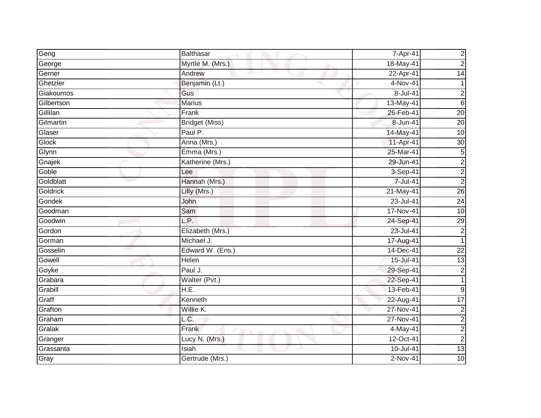| Geng         | <b>Balthasar</b>      | 7-Apr-41    | $\mathbf{2}$     |
|--------------|-----------------------|-------------|------------------|
| George       | Myrtle M. (Mrs.)      | 18-May-41   | $\overline{2}$   |
| Gerner       | Andrew                | 22-Apr-41   | $\overline{14}$  |
| Ghetzler     | Benjamin (Lt.)        | 4-Nov-41    | 1                |
| Giakoumos    | Gus                   | 8-Jul-41    | $\mathbf 2$      |
| Gilbertson   | <b>Marius</b>         | 13-May-41   | $6\phantom{.}6$  |
| Gillilan     | Frank                 | 26-Feb-41   | 20               |
| Gilmartin    | <b>Bridget (Miss)</b> | 8-Jun-41    | $\overline{20}$  |
| Glaser       | Paul P.               | 14-May-41   | 10               |
| <b>Glock</b> | Anna (Mrs.)           | 11-Apr-41   | 30               |
| Glynn        | Emma (Mrs.)           | 25-Mar-41   | $\overline{5}$   |
| Gnajek       | Katherine (Mrs.)      | 29-Jun-41   | $\mathbf{2}$     |
| Goble        | Lee                   | 3-Sep-41    | $\overline{2}$   |
| Goldblatt    | Hannah (Mrs.)         | 7-Jul-41    | $\overline{2}$   |
| Goldrick     | Lilly (Mrs.)          | 21-May-41   | 26               |
| Gondek       | John                  | 23-Jul-41   | $\overline{24}$  |
| Goodman      | Sam                   | 17-Nov-41   | 10               |
| Goodwin      | L.P.                  | 24-Sep-41   | 29               |
| Gordon       | Elizabeth (Mrs.)      | 23-Jul-41   | $\mathbf{2}$     |
| Gorman       | Michael J.            | 17-Aug-41   | 1                |
| Gosselin     | Edward W. (Ens.)      | 14-Dec-41   | $\overline{22}$  |
| Gowell       | Helen                 | 15-Jul-41   | 13               |
| Goyke        | Paul J.               | 29-Sep-41   | $\mathbf{2}$     |
| Grabara      | Walter (Pvt.)         | 22-Sep-41   | $\mathbf{1}$     |
| Grabill      | H.E.                  | 13-Feb-41   | $\boldsymbol{9}$ |
| Graff        | Kenneth               | $22-Aug-41$ | 17               |
| Grafton      | Willie K.             | 27-Nov-41   | $\boldsymbol{2}$ |
| Graham       | L.C.                  | 27-Nov-41   | $\overline{2}$   |
| Gralak       | Frank                 | 4-May-41    | $\overline{2}$   |
| Granger      | Lucy N. (Mrs.)        | 12-Oct-41   | $\overline{2}$   |
| Grassanta    | Isiah                 | 10-Jul-41   | 13               |
| Gray         | Gertrude (Mrs.)       | 2-Nov-41    | 10               |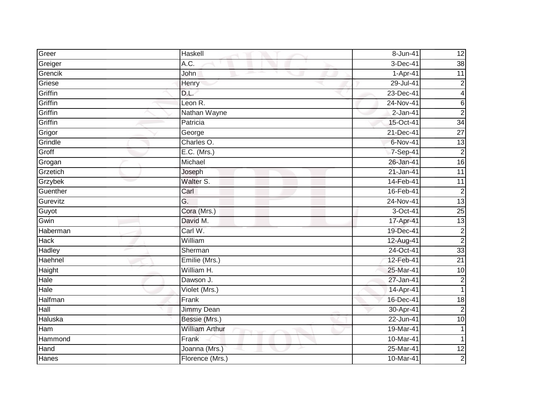| Greer       | Haskell                  | 8-Jun-41    | 12               |
|-------------|--------------------------|-------------|------------------|
| Greiger     | A.C.                     | 3-Dec-41    | 38               |
| Grencik     | John                     | 1-Apr-41    | 11               |
| Griese      | Henry                    | 29-Jul-41   | $\boldsymbol{2}$ |
| Griffin     | D.L.                     | 23-Dec-41   | $\vert 4 \vert$  |
| Griffin     | Leon R.                  | 24-Nov-41   | 6                |
| Griffin     | Nathan Wayne             | $2$ -Jan-41 | $\overline{2}$   |
| Griffin     | Patricia                 | 15-Oct-41   | 34               |
| Grigor      | George                   | 21-Dec-41   | $\overline{27}$  |
| Grindle     | Charles O.               | 6-Nov-41    | $\overline{13}$  |
| Groff       | $E.C.$ (Mrs.)            | 7-Sep-41    | $\overline{2}$   |
| Grogan      | Michael                  | 26-Jan-41   | 16               |
| Grzetich    | Joseph                   | 21-Jan-41   | 11               |
| Grzybek     | Walter S.                | 14-Feb-41   | $\overline{11}$  |
| Guenther    | $\overline{\text{Carl}}$ | 16-Feb-41   | $\overline{c}$   |
| Gurevitz    | G.                       | 24-Nov-41   | 13               |
| Guyot       | Cora (Mrs.)              | 3-Oct-41    | 25               |
| Gwin        | David M.                 | 17-Apr-41   | 13               |
| Haberman    | Carl W.                  | 19-Dec-41   | $\mathbf{2}$     |
| <b>Hack</b> | William                  | 12-Aug-41   | $\boldsymbol{2}$ |
| Hadley      | Sherman                  | 24-Oct-41   | 33               |
| Haehnel     | Emilie (Mrs.)            | 12-Feb-41   | $\overline{21}$  |
| Haight      | William H.               | 25-Mar-41   | 10               |
| Hale        | Dawson J.                | 27-Jan-41   | $\mathbf{2}$     |
| Hale        | Violet (Mrs.)            | 14-Apr-41   | $\mathbf{1}$     |
| Halfman     | Frank                    | 16-Dec-41   | $\overline{18}$  |
| Hall        | <b>Jimmy Dean</b>        | 30-Apr-41   | $\boldsymbol{2}$ |
| Haluska     | Bessie (Mrs.)            | 22-Jun-41   | 10               |
| Ham         | <b>William Arthur</b>    | 19-Mar-41   |                  |
| Hammond     | Frank                    | 10-Mar-41   | 1                |
| Hand        | Joanna (Mrs.)            | 25-Mar-41   | $\overline{12}$  |
| Hanes       | Florence (Mrs.)          | 10-Mar-41   | $\overline{2}$   |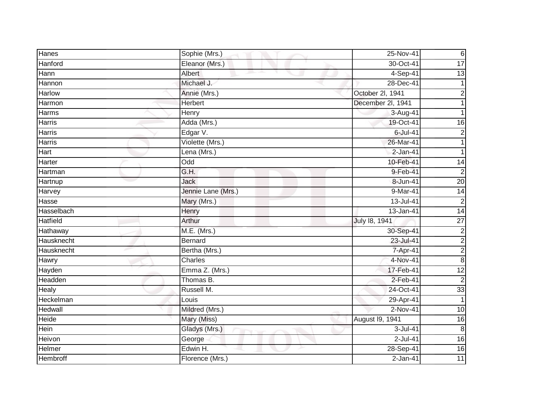| Hanes           | Sophie (Mrs.)             | 25-Nov-41         | $6\phantom{.}6$         |
|-----------------|---------------------------|-------------------|-------------------------|
| Hanford         | Eleanor (Mrs.)            | 30-Oct-41         | $\overline{17}$         |
| Hann            | Albert<br>and the parties | 4-Sep-41          | $\overline{13}$         |
| Hannon          | Michael J.                | 28-Dec-41         |                         |
| <b>Harlow</b>   | Annie (Mrs.)              | October 2l, 1941  | 2                       |
| Harmon          | Herbert                   | December 2l, 1941 |                         |
| <b>Harms</b>    | <b>Henry</b>              | 3-Aug-41          |                         |
| Harris          | Adda (Mrs.)               | 19-Oct-41         | 16                      |
| <b>Harris</b>   | Edgar V.                  | $6$ -Jul-41       | $\overline{2}$          |
| <b>Harris</b>   | Violette (Mrs.)           | 26-Mar-41         |                         |
| Hart            | Lena (Mrs.)               | 2-Jan-41          |                         |
| Harter          | $\overline{\text{Odd}}$   | 10-Feb-41         | 14                      |
| Hartman         | G.H.                      | 9-Feb-41          | $\overline{2}$          |
| Hartnup         | <b>Jack</b>               | 8-Jun-41          | $\overline{20}$         |
| Harvey          | Jennie Lane (Mrs.)        | 9-Mar-41          | 14                      |
| Hasse           | Mary (Mrs.)               | 13-Jul-41         | $\overline{2}$          |
| Hasselbach      | Henry                     | 13-Jan-41         | $\overline{14}$         |
| <b>Hatfield</b> | Arthur                    | July 18, 1941     | 27                      |
| Hathaway        | M.E. (Mrs.)               | 30-Sep-41         | $\overline{c}$          |
| Hausknecht      | <b>Bernard</b>            | 23-Jul-41         | $\overline{c}$          |
| Hausknecht      | Bertha (Mrs.)             | 7-Apr-41          | $\overline{\mathbf{c}}$ |
| Hawry           | Charles                   | 4-Nov-41          | $\infty$                |
| Hayden          | Emma Z. (Mrs.)            | 17-Feb-41         | $\overline{12}$         |
| Headden         | Thomas B.                 | 2-Feb-41          | $\overline{2}$          |
| Healy           | Russell M.                | 24-Oct-41         | 33                      |
| Heckelman       | Louis                     | 29-Apr-41         |                         |
| Hedwall         | Mildred (Mrs.)            | $2-Nov-41$        | 10                      |
| Heide           | Mary (Miss)               | August I9, 1941   | $\overline{16}$         |
| Hein            | Gladys (Mrs.)             | $3$ -Jul-41       | $\infty$                |
| Heivon          | George                    | $2$ -Jul-41       | 16                      |
| Helmer          | Edwin H.                  | 28-Sep-41         | $\overline{16}$         |
| Hembroff        | Florence (Mrs.)           | $2-Jan-41$        | 11                      |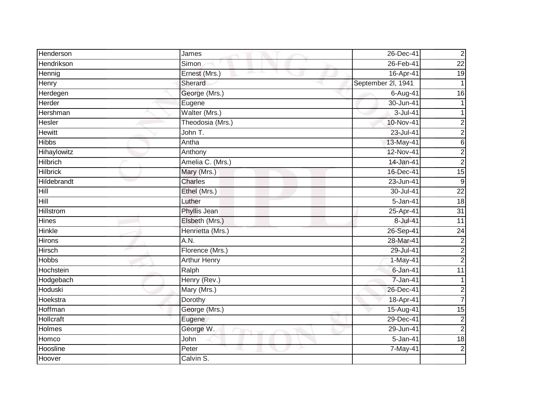| Henderson        | James               | 26-Dec-41          | $\mathbf 2$             |
|------------------|---------------------|--------------------|-------------------------|
| Hendrikson       | <b>Simon</b>        | 26-Feb-41          | $\overline{22}$         |
| Hennig           | Ernest (Mrs.)       | 16-Apr-41          | $\overline{19}$         |
| Henry            | Sherard             | September 2l, 1941 |                         |
| Herdegen         | George (Mrs.)       | 6-Aug-41           | $\overline{16}$         |
| Herder           | Eugene              | 30-Jun-41          |                         |
| Hershman         | Walter (Mrs.)       | 3-Jul-41           |                         |
| Hesler           | Theodosia (Mrs.)    | 10-Nov-41          | 2                       |
| <b>Hewitt</b>    | John T.             | 23-Jul-41          | $\overline{c}$          |
| <b>Hibbs</b>     | Antha               | 13-May-41          | $\sigma$                |
| Hihaylowitz      | Anthony             | 12-Nov-41          | $\overline{a}$          |
| Hilbrich         | Amelia C. (Mrs.)    | 14-Jan-41          | $\overline{c}$          |
| <b>Hilbrick</b>  | Mary (Mrs.)         | 16-Dec-41          | $\overline{15}$         |
| Hildebrandt      | Charles             | 23-Jun-41          | 9                       |
| Hill             | Ethel (Mrs.)        | 30-Jul-41          | $\overline{22}$         |
| Hill             | Luther              | 5-Jan-41           | 18                      |
| <b>Hillstrom</b> | Phyllis Jean        | 25-Apr-41          | 31                      |
| <b>Hines</b>     | Elsbeth (Mrs.)      | 8-Jul-41           | $\overline{11}$         |
| Hinkle           | Henrietta (Mrs.)    | 26-Sep-41          | $\overline{24}$         |
| <b>Hirons</b>    | A.N.                | 28-Mar-41          | $\overline{c}$          |
| Hirsch           | Florence (Mrs.)     | 29-Jul-41          | $\overline{c}$          |
| <b>Hobbs</b>     | <b>Arthur Henry</b> | 1-May-41           | $\overline{c}$          |
| Hochstein        | Ralph               | $6$ -Jan-41        | 11                      |
| Hodgebach        | Henry (Rev.)        | 7-Jan-41           |                         |
| Hoduski          | Mary (Mrs.)         | 26-Dec-41          | $\overline{\mathbf{c}}$ |
| Hoekstra         | Dorothy             | 18-Apr-41          | $\overline{7}$          |
| Hoffman          | George (Mrs.)       | 15-Aug-41          | $\overline{15}$         |
| Hollcraft        | Eugene              | 29-Dec-41          | $\overline{c}$          |
| Holmes           | George W.           | 29-Jun-41          | $\overline{2}$          |
| Homco            | John                | 5-Jan-41           | $\overline{18}$         |
| Hoosline         | Peter               | 7-May-41           | $\overline{c}$          |
| Hoover           | Calvin S.           |                    |                         |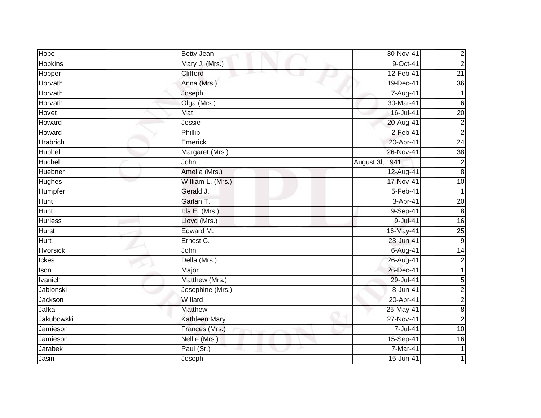| Hope            | <b>Betty Jean</b> | 30-Nov-41       | $\overline{c}$   |
|-----------------|-------------------|-----------------|------------------|
| Hopkins         | Mary J. (Mrs.)    | $9-Oct-41$      | $\overline{c}$   |
| Hopper          | Clifford          | 12-Feb-41       | $\overline{21}$  |
| Horvath         | Anna (Mrs.)       | 19-Dec-41       | 36               |
| Horvath         | Joseph            | $7 - Aug-41$    |                  |
| Horvath         | Olga (Mrs.)       | 30-Mar-41       | $6\phantom{1}$   |
| Hovet           | Mat               | 16-Jul-41       | $\overline{20}$  |
| Howard          | Jessie            | 20-Aug-41       | $\overline{c}$   |
| Howard          | Phillip           | 2-Feb-41        | $\overline{c}$   |
| <b>Hrabrich</b> | Emerick           | 20-Apr-41       | $\overline{24}$  |
| Hubbell         | Margaret (Mrs.)   | 26-Nov-41       | 38               |
| Huchel          | John              | August 3l, 1941 | $\overline{c}$   |
| Huebner         | Amelia (Mrs.)     | 12-Aug-41       | $\infty$         |
| <b>Hughes</b>   | William L. (Mrs.) | 17-Nov-41       | $\overline{10}$  |
| Humpfer         | Gerald J.         | $5-Feb-41$      | 1                |
| Hunt            | Garlan T.         | 3-Apr-41        | $\overline{20}$  |
| <b>Hunt</b>     | Ida E. (Mrs.)     | 9-Sep-41        | 8                |
| <b>Hurless</b>  | Lloyd (Mrs.)      | 9-Jul-41        | 16               |
| Hurst           | Edward M.         | 16-May-41       | $\overline{25}$  |
| <b>Hurt</b>     | Ernest C.         | 23-Jun-41       | ဖ                |
| Hvorsick        | John              | 6-Aug-41        | 14               |
| Ickes           | Della (Mrs.)      | 26-Aug-41       | $\overline{2}$   |
| Ison            | Major             | 26-Dec-41       |                  |
| Ivanich         | Matthew (Mrs.)    | 29-Jul-41       | 5                |
| Jablonski       | Josephine (Mrs.)  | 8-Jun-41        | $\overline{c}$   |
| Jackson         | Willard           | 20-Apr-41       | $\overline{a}$   |
| Jafka           | <b>Matthew</b>    | 25-May-41       | $\boldsymbol{8}$ |
| Jakubowski      | Kathleen Mary     | 27-Nov-41       | $\overline{2}$   |
| Jamieson        | Frances (Mrs.)    | 7-Jul-41        | 10               |
| Jamieson        | Nellie (Mrs.)     | 15-Sep-41       | 16               |
| Jarabek         | Paul (Sr.)        | $7-Mar-41$      |                  |
| Jasin           | Joseph            | 15-Jun-41       |                  |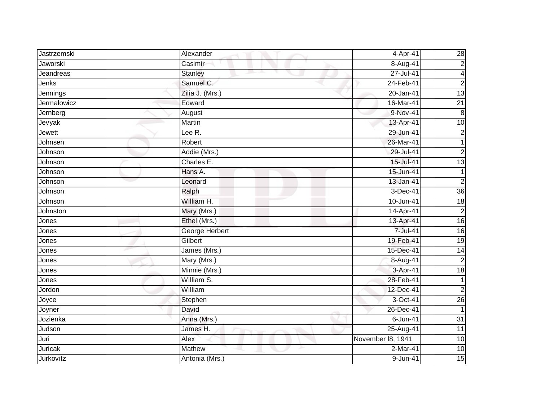| Jastrzemski | Alexander       | 4-Apr-41          | 28               |
|-------------|-----------------|-------------------|------------------|
| Jaworski    | Casimir         | 8-Aug-41          | $\overline{2}$   |
| Jeandreas   | Stanley         | 27-Jul-41         | 4                |
| Jenks       | Samuel C.       | 24-Feb-41         | $\overline{2}$   |
| Jennings    | Zilia J. (Mrs.) | 20-Jan-41         | 13               |
| Jermalowicz | Edward          | 16-Mar-41         | $\overline{21}$  |
| Jernberg    | August          | 9-Nov-41          | $\boldsymbol{8}$ |
| Jevyak      | Martin          | 13-Apr-41         | $\overline{10}$  |
| Jewett      | Lee R.          | 29-Jun-41         | $\overline{2}$   |
| Johnsen     | Robert          | 26-Mar-41         |                  |
| Johnson     | Addie (Mrs.)    | 29-Jul-41         | $\overline{c}$   |
| Johnson     | Charles E.      | 15-Jul-41         | $\overline{13}$  |
| Johnson     | Hans A.         | 15-Jun-41         |                  |
| Johnson     | Leonard         | 13-Jan-41         | $\overline{2}$   |
| Johnson     | Ralph           | 3-Dec-41          | 36               |
| Johnson     | William H.      | 10-Jun-41         | 18               |
| Johnston    | Mary (Mrs.)     | 14-Apr-41         | $\overline{2}$   |
| Jones       | Ethel (Mrs.)    | 13-Apr-41         | 16               |
| Jones       | George Herbert  | 7-Jul-41          | 16               |
| Jones       | Gilbert         | 19-Feb-41         | $\overline{19}$  |
| Jones       | James (Mrs.)    | 15-Dec-41         | 14               |
| Jones       | Mary (Mrs.)     | 8-Aug-41          | $\overline{2}$   |
| Jones       | Minnie (Mrs.)   | 3-Apr-41          | $\overline{18}$  |
| Jones       | William S.      | 28-Feb-41         | 1                |
| Jordon      | William         | 12-Dec-41         | $\overline{2}$   |
| Joyce       | Stephen         | 3-Oct-41          | $\overline{26}$  |
| Joyner      | David           | 26-Dec-41         |                  |
| Jozienka    | Anna (Mrs.)     | 6-Jun-41          | $\overline{31}$  |
| Judson      | James H.        | $25 - Aug-41$     | 11               |
| Juri        | Alex            | November 18, 1941 | 10               |
| Juricak     | Mathew          | 2-Mar-41          | 10               |
| Jurkovitz   | Antonia (Mrs.)  | 9-Jun-41          | 15               |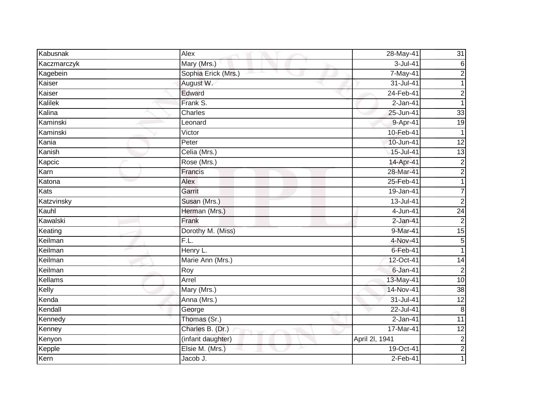| Kabusnak    | Alex                | 28-May-41      | 31              |
|-------------|---------------------|----------------|-----------------|
| Kaczmarczyk | Mary (Mrs.)         | 3-Jul-41       | 6               |
| Kagebein    | Sophia Erick (Mrs.) | 7-May-41       | $\overline{c}$  |
| Kaiser      | August W.           | 31-Jul-41      |                 |
| Kaiser      | Edward              | 24-Feb-41      | $\overline{c}$  |
| Kalilek     | Frank S.            | 2-Jan-41       | 1               |
| Kalina      | Charles             | 25-Jun-41      | 33              |
| Kaminski    | Leonard             | 9-Apr-41       | $\overline{19}$ |
| Kaminski    | Victor              | 10-Feb-41      | 1               |
| Kania       | Peter               | 10-Jun-41      | 12              |
| Kanish      | Celia (Mrs.)        | 15-Jul-41      | $\overline{13}$ |
| Kapcic      | Rose (Mrs.)         | 14-Apr-41      | $\overline{c}$  |
| Karn        | Francis             | 28-Mar-41      | $\overline{2}$  |
| Katona      | Alex                | 25-Feb-41      |                 |
| Kats        | Garrit              | 19-Jan-41      |                 |
| Katzvinsky  | Susan (Mrs.)        | 13-Jul-41      | $\overline{2}$  |
| Kauhl       | Herman (Mrs.)       | 4-Jun-41       | $\overline{24}$ |
| Kawalski    | Frank               | $2$ -Jan-41    | $\overline{2}$  |
| Keating     | Dorothy M. (Miss)   | 9-Mar-41       | $\overline{15}$ |
| Keilman     | F.L.                | 4-Nov-41       | 5               |
| Keilman     | Henry L.            | $6$ -Feb-41    | 1               |
| Keilman     | Marie Ann (Mrs.)    | 12-Oct-41      | $\overline{14}$ |
| Keilman     | Roy                 | $6 - Jan-41$   | $\overline{c}$  |
| Kellams     | Arrel               | 13-May-41      | 10              |
| Kelly       | Mary (Mrs.)         | 14-Nov-41      | $\overline{38}$ |
| Kenda       | Anna (Mrs.)         | 31-Jul-41      | 12              |
| Kendall     | George              | $22 -$ Jul-41  | $\bf 8$         |
| Kennedy     | Thomas (Sr.)        | 2-Jan-41       | $\overline{11}$ |
| Kenney      | Charles B. (Dr.)    | 17-Mar-41      | 12              |
| Kenyon      | (infant daughter)   | April 2I, 1941 | $\overline{c}$  |
| Kepple      | Elsie M. (Mrs.)     | 19-Oct-41      | $\overline{2}$  |
| Kern        | Jacob J.            | $2-Feb-41$     |                 |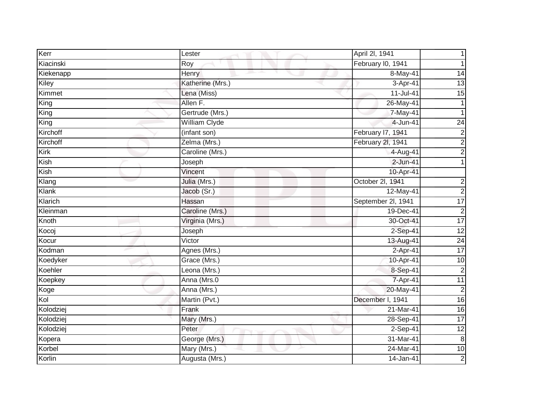| Kerr                     | Lester           | April 2I, 1941     |                  |
|--------------------------|------------------|--------------------|------------------|
| Kiacinski                | Roy              | February I0, 1941  |                  |
| Kiekenapp                | Henry            | 8-May-41           | 14               |
| Kiley                    | Katherine (Mrs.) | 3-Apr-41           | $\overline{13}$  |
| Kimmet                   | Lena (Miss)      | $11 -$ Jul-41      | $\overline{15}$  |
| King                     | Allen F.         | 26-May-41          |                  |
| $\overline{\text{King}}$ | Gertrude (Mrs.)  | 7-May-41           |                  |
| King                     | William Clyde    | $4 - Jun-41$       | $\overline{24}$  |
| Kirchoff                 | (infant son)     | February 17, 1941  | $\overline{c}$   |
| Kirchoff                 | Zelma (Mrs.)     | February 2l, 1941  | $\overline{2}$   |
| Kirk                     | Caroline (Mrs.)  | 4-Aug-41           | $\overline{c}$   |
| Kish                     | Joseph           | $2$ -Jun-41        |                  |
| Kish                     | Vincent          | 10-Apr-41          |                  |
| Klang                    | Julia (Mrs.)     | October 2l, 1941   | $\overline{c}$   |
| Klank                    | Jacob (Sr.)      | 12-May-41          | $\overline{c}$   |
| Klarich                  | Hassan           | September 2l, 1941 | 17               |
| Kleinman                 | Caroline (Mrs.)  | 19-Dec-41          | $\overline{2}$   |
| Knoth                    | Virginia (Mrs.)  | 30-Oct-41          | 17               |
| Kocoj                    | Joseph           | 2-Sep-41           | $\overline{12}$  |
| Kocur                    | Victor           | 13-Aug-41          | $\overline{24}$  |
| Kodman                   | Agnes (Mrs.)     | $2-Apr-41$         | 17               |
| Koedyker                 | Grace (Mrs.)     | 10-Apr-41          | 10               |
| Koehler                  | Leona (Mrs.)     | 8-Sep-41           | $\overline{c}$   |
| Koepkey                  | Anna (Mrs.0      | 7-Apr-41           | 11               |
| Koge                     | Anna (Mrs.)      | 20-May-41          | $\overline{2}$   |
| Kol                      | Martin (Pvt.)    | December I, 1941   | $\overline{16}$  |
| Kolodziej                | Frank            | 21-Mar-41          | $\overline{6}$   |
| Kolodziej                | Mary (Mrs.)      | 28-Sep-41          | $\overline{17}$  |
| Kolodziej                | Peter            | $2-Sep-41$         | 12               |
| Kopera                   | George (Mrs.)    | 31-Mar-41          | $\boldsymbol{8}$ |
| Korbel                   | Mary (Mrs.)      | 24-Mar-41          | 10               |
| Korlin                   | Augusta (Mrs.)   | 14-Jan-41          | $\overline{2}$   |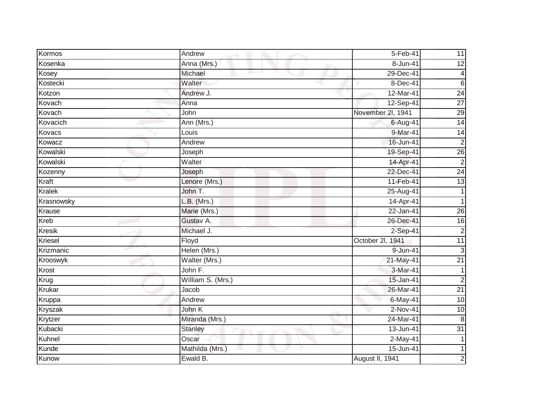| Kormos        | Andrew            | 5-Feb-41          | 11              |
|---------------|-------------------|-------------------|-----------------|
| Kosenka       | Anna (Mrs.)       | 8-Jun-41          | 12              |
| Kosey         | Michael           | 29-Dec-41         | $\overline{4}$  |
| Kostecki      | Walter            | 8-Dec-41          | $6\phantom{1}$  |
| Kotzon        | Andrew J.         | 12-Mar-41         | 24              |
| Kovach        | Anna              | 12-Sep-41         | $\overline{27}$ |
| Kovach        | John              | November 2l, 1941 | 29              |
| Kovacich      | Ann (Mrs.)        | 6-Aug-41          | $\overline{14}$ |
| Kovacs        | Louis             | 9-Mar-41          | 14              |
| Kowacz        | Andrew            | 16-Jun-41         | $\overline{2}$  |
| Kowalski      | Joseph            | 19-Sep-41         | $\overline{26}$ |
| Kowalski      | Walter            | 14-Apr-41         | $\overline{c}$  |
| Kozenny       | Joseph            | 22-Dec-41         | 24              |
| Kraft         | Lenore (Mrs.)     | 11-Feb-41         | $\overline{13}$ |
| <b>Kralek</b> | John T.           | 25-Aug-41         |                 |
| Krasnowsky    | $L.B.$ (Mrs.)     | 14-Apr-41         |                 |
| Krause        | Marie (Mrs.)      | $22$ -Jan-41      | 26              |
| Kreb          | Gustav A.         | 26-Dec-41         | 16              |
| <b>Kresik</b> | Michael J.        | 2-Sep-41          | $\overline{c}$  |
| Kriesel       | Floyd             | October 2l, 1941  | 11              |
| Krizmanic     | Helen (Mrs.)      | 9-Jun-41          | $\mathbf{3}$    |
| Krooswyk      | Walter (Mrs.)     | 21-May-41         | $\overline{21}$ |
| Krost         | John F.           | 3-Mar-41          |                 |
| Krug          | William S. (Mrs.) | 15-Jan-41         | $\overline{c}$  |
| Krukar        | Jacob             | 26-Mar-41         | $\overline{21}$ |
| Kruppa        | Andrew            | 6-May-41          | 10              |
| Kryszak       | John K            | 2-Nov-41          | 10              |
| Krytzer       | Miranda (Mrs.)    | 24-Mar-41         | 8               |
| Kubacki       | <b>Stanley</b>    | 13-Jun-41         | $\overline{31}$ |
| Kuhnel        | Oscar             | $2-May-41$        |                 |
| Kunde         | Mathilda (Mrs.)   | 15-Jun-41         |                 |
| Kunow         | Ewald B.          | August II, 1941   | $\overline{c}$  |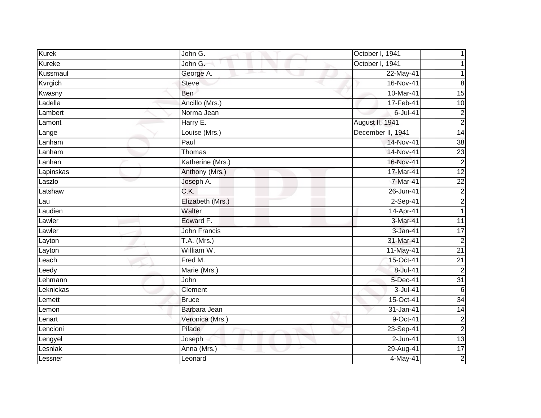| <b>Kurek</b> | John G.             | October I, 1941   |                  |
|--------------|---------------------|-------------------|------------------|
| Kureke       | John G.             | October I, 1941   |                  |
| Kussmaul     | George A.           | 22-May-41         |                  |
| Kvrgich      | Steve               | 16-Nov-41         | 8                |
| Kwasny       | <b>Ben</b>          | 10-Mar-41         | 15               |
| Ladella      | Ancillo (Mrs.)      | 17-Feb-41         | 10               |
| Lambert      | Norma Jean          | $6$ -Jul-41       | $\overline{c}$   |
| Lamont       | Harry E.            | August II, 1941   | $\overline{2}$   |
| Lange        | Louise (Mrs.)       | December II, 1941 | $\overline{14}$  |
| Lanham       | Paul                | 14-Nov-41         | 38               |
| Lanham       | Thomas              | 14-Nov-41         | 23               |
| Lanhan       | Katherine (Mrs.)    | 16-Nov-41         | $\boldsymbol{2}$ |
| Lapinskas    | Anthony (Mrs.)      | 17-Mar-41         | $\overline{12}$  |
| Laszlo       | Joseph A.           | 7-Mar-41          | $\overline{22}$  |
| Latshaw      | C.K.                | 26-Jun-41         | $\boldsymbol{2}$ |
| Lau          | Elizabeth (Mrs.)    | 2-Sep-41          | $\overline{2}$   |
| Laudien      | Walter              | 14-Apr-41         | 1                |
| Lawler       | Edward F.           | 3-Mar-41          | 11               |
| Lawler       | <b>John Francis</b> | 3-Jan-41          | 17               |
| Layton       | $T.A.$ (Mrs.)       | 31-Mar-41         | $\overline{2}$   |
| Layton       | William W.          | 11-May-41         | $\overline{21}$  |
| Leach        | Fred M.             | 15-Oct-41         | $\overline{21}$  |
| Leedy        | Marie (Mrs.)        | 8-Jul-41          | $\overline{2}$   |
| Lehmann      | John                | 5-Dec-41          | $\overline{31}$  |
| Leknickas    | Clement             | 3-Jul-41          | $6\phantom{1}6$  |
| Lemett       | <b>Bruce</b>        | 15-Oct-41         | $\overline{34}$  |
| Lemon        | Barbara Jean        | 31-Jan-41         | $\overline{14}$  |
| Lenart       | Veronica (Mrs.)     | 9-Oct-41          | $\overline{2}$   |
| Lencioni     | Pilade              | 23-Sep-41         | $\overline{2}$   |
| Lengyel      | Joseph              | $2$ -Jun-41       | 13               |
| Lesniak      | Anna (Mrs.)         | 29-Aug-41         | 17               |
| Lessner      | Leonard             | 4-May-41          | $\mathbf 2$      |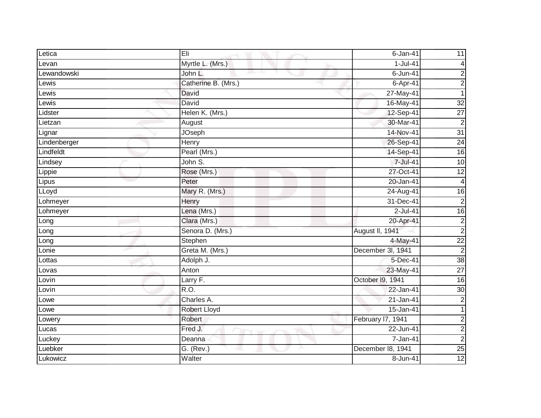| Letica       | Eli                 | $6$ -Jan-41       | 11              |
|--------------|---------------------|-------------------|-----------------|
| Levan        | Myrtle L. (Mrs.)    | $1-Jul-41$        | 4               |
| Lewandowski  | John L.             | 6-Jun-41          | $\overline{c}$  |
| Lewis        | Catherine B. (Mrs.) | 6-Apr-41          | $\overline{2}$  |
| Lewis        | David               | 27-May-41         | $\mathbf 1$     |
| Lewis        | David               | 16-May-41         | $\overline{32}$ |
| Lidster      | Helen K. (Mrs.)     | 12-Sep-41         | $\overline{27}$ |
| Lietzan      | August              | 30-Mar-41         | $\overline{2}$  |
| Lignar       | <b>JOseph</b>       | 14-Nov-41         | $\overline{31}$ |
| Lindenberger | Henry               | 26-Sep-41         | $\overline{24}$ |
| Lindfeldt    | Pearl (Mrs.)        | 14-Sep-41         | $\overline{16}$ |
| Lindsey      | John S.             | 7-Jul-41          | $\overline{10}$ |
| Lippie       | Rose (Mrs.)         | 27-Oct-41         | 12              |
| Lipus        | Peter               | 20-Jan-41         | $\overline{4}$  |
| LLoyd        | Mary R. (Mrs.)      | 24-Aug-41         | 16              |
| Lohmeyer     | Henry               | 31-Dec-41         | $\overline{2}$  |
| Lohmeyer     | Lena (Mrs.)         | $2$ -Jul-41       | $\overline{6}$  |
| Long         | Clara (Mrs.)        | 20-Apr-41         | $\overline{c}$  |
| Long         | Senora D. (Mrs.)    | August II, 1941   | $\overline{2}$  |
| Long         | Stephen             | 4-May-41          | $\overline{22}$ |
| Lonie        | Greta M. (Mrs.)     | December 3l, 1941 | $\overline{c}$  |
| Lottas       | Adolph J.           | 5-Dec-41          | $\overline{38}$ |
| Lovas        | Anton               | 23-May-41         | $\overline{27}$ |
| Lovin        | Larry F.            | October I9, 1941  | $\overline{16}$ |
| Lovin        | $\overline{R.O.}$   | 22-Jan-41         | 30              |
| Lowe         | Charles A.          | $21$ -Jan-41      | $\overline{2}$  |
| Lowe         | <b>Robert Lloyd</b> | 15-Jan-41         | 1               |
| Lowery       | Robert              | February I7, 1941 | $\overline{c}$  |
| Lucas        | Fred J.             | $22 - Jun-41$     | $\overline{c}$  |
| Luckey       | Deanna              | 7-Jan-41          | $\overline{c}$  |
| Luebker      | G. (Rev.)           | December 18, 1941 | $\overline{25}$ |
| Lukowicz     | Walter              | 8-Jun-41          | $\overline{12}$ |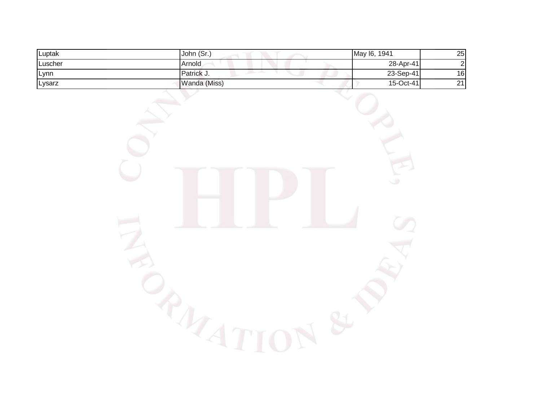| Luptak  | John (Sr.)        | May I6,<br>1941 | 25 |
|---------|-------------------|-----------------|----|
| Luscher | <b>Arnold</b>     | 28-Apr-41       | ി  |
| Lynn    | <b>Patrick</b> J. | 23-Sep-41       | 16 |
| Lysarz  | Wanda (Miss)      | 15-Oct-41       | 21 |

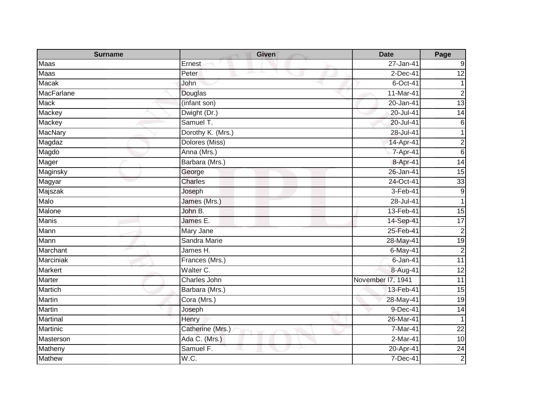| <b>Surname</b>    | <b>Given</b>      | <b>Date</b>       | Page            |
|-------------------|-------------------|-------------------|-----------------|
| Maas              | Ernest            | 27-Jan-41         | 9               |
| <b>Maas</b>       | Peter             | $2$ -Dec-41       | 12              |
| <b>Macak</b>      | John              | 6-Oct-41          |                 |
| <b>MacFarlane</b> | Douglas           | 11-Mar-41         | $\overline{c}$  |
| <b>Mack</b>       | (infant son)      | 20-Jan-41         | 13              |
| Mackey            | Dwight (Dr.)      | 20-Jul-41         | $\overline{14}$ |
| Mackey            | Samuel T.         | 20-Jul-41         | 6               |
| <b>MacNary</b>    | Dorothy K. (Mrs.) | 28-Jul-41         | 1               |
| Magdaz            | Dolores (Miss)    | 14-Apr-41         | $\overline{c}$  |
| Magdo             | Anna (Mrs.)       | 7-Apr-41          | 6               |
| Mager             | Barbara (Mrs.)    | 8-Apr-41          | 14              |
| Maginsky          | George            | 26-Jan-41         | 15              |
| Magyar            | Charles           | 24-Oct-41         | 33              |
| Majszak           | Joseph            | 3-Feb-41          | $9\,$           |
| Malo              | James (Mrs.)      | 28-Jul-41         | 1               |
| Malone            | John B.           | 13-Feb-41         | $\overline{15}$ |
| <b>Manis</b>      | James E.          | 14-Sep-41         | 17              |
| Mann              | Mary Jane         | 25-Feb-41         | $\overline{c}$  |
| Mann              | Sandra Marie      | 28-May-41         | $\overline{19}$ |
| Marchant          | James H.          | 6-May-41          | $\overline{2}$  |
| <b>Marciniak</b>  | Frances (Mrs.)    | $6 - Jan-41$      | $\overline{11}$ |
| Markert           | Walter C.         | 8-Aug-41          | $\overline{12}$ |
| <b>Marter</b>     | Charles John      | November 17, 1941 | $\overline{11}$ |
| Martich           | Barbara (Mrs.)    | 13-Feb-41         | 15              |
| Martin            | Cora (Mrs.)       | 28-May-41         | 19              |
| Martin            | Joseph            | $9-Dec-41$        | 14              |
| Martinal          | Henry             | 26-Mar-41         | 1               |
| Martinic          | Catherine (Mrs.)  | 7-Mar-41          | 22              |
| Masterson         | Ada C. (Mrs.)     | $2-Mar-41$        | 10              |
| Matheny           | Samuel F.         | 20-Apr-41         | 24              |
| <b>Mathew</b>     | W.C.              | $7-Dec-41$        | $\overline{2}$  |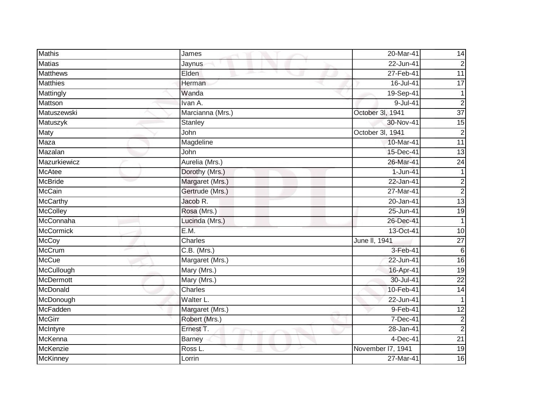| Mathis           | James            | 20-Mar-41         | 14              |
|------------------|------------------|-------------------|-----------------|
| <b>Matias</b>    | Jaynus           | $22 - Jun-41$     | $\overline{2}$  |
| <b>Matthews</b>  | Elden            | 27-Feb-41         | $\overline{11}$ |
| <b>Matthies</b>  | Herman           | 16-Jul-41         | $\overline{17}$ |
| Mattingly        | Wanda            | 19-Sep-41         |                 |
| Mattson          | Ivan A.          | $9-Jul-41$        | $\overline{2}$  |
| Matuszewski      | Marcianna (Mrs.) | October 3l, 1941  | $\overline{37}$ |
| Matuszyk         | Stanley          | 30-Nov-41         | 15              |
| Maty             | John             | October 3l, 1941  | $\overline{2}$  |
| Maza             | Magdeline        | 10-Mar-41         | $\overline{11}$ |
| Mazalan          | John             | 15-Dec-41         | $\overline{13}$ |
| Mazurkiewicz     | Aurelia (Mrs.)   | 26-Mar-41         | 24              |
| <b>McAtee</b>    | Dorothy (Mrs.)   | $1-Jun-41$        | $\mathbf{1}$    |
| <b>McBride</b>   | Margaret (Mrs.)  | 22-Jan-41         | $\overline{c}$  |
| <b>McCain</b>    | Gertrude (Mrs.)  | 27-Mar-41         | $\overline{2}$  |
| <b>McCarthy</b>  | Jacob R.         | 20-Jan-41         | $\overline{13}$ |
| <b>McColley</b>  | Rosa (Mrs.)      | 25-Jun-41         | 19              |
| McConnaha        | Lucinda (Mrs.)   | 26-Dec-41         |                 |
| <b>McCormick</b> | E.M.             | 13-Oct-41         | 10              |
| <b>McCoy</b>     | Charles          | June II, 1941     | $\overline{27}$ |
| <b>McCrum</b>    | C.B. (Mrs.)      | 3-Feb-41          | 6               |
| <b>McCue</b>     | Margaret (Mrs.)  | 22-Jun-41         | $\overline{16}$ |
| McCullough       | Mary (Mrs.)      | 16-Apr-41         | $\overline{19}$ |
| <b>McDermott</b> | Mary (Mrs.)      | 30-Jul-41         | 22              |
| McDonald         | Charles          | 10-Feb-41         | 14              |
| McDonough        | Walter L.        | $22 - Jun-41$     |                 |
| McFadden         | Margaret (Mrs.)  | 9-Feb-41          | 12              |
| <b>McGirr</b>    | Robert (Mrs.)    | 7-Dec-41          | $\overline{c}$  |
| McIntyre         | Ernest T.        | 28-Jan-41         | $\overline{c}$  |
| McKenna          | <b>Barney</b>    | $4-Dec-41$        | $\overline{21}$ |
| McKenzie         | Ross L.          | November I7, 1941 | 19              |
| <b>McKinney</b>  | Lorrin           | 27-Mar-41         | 16              |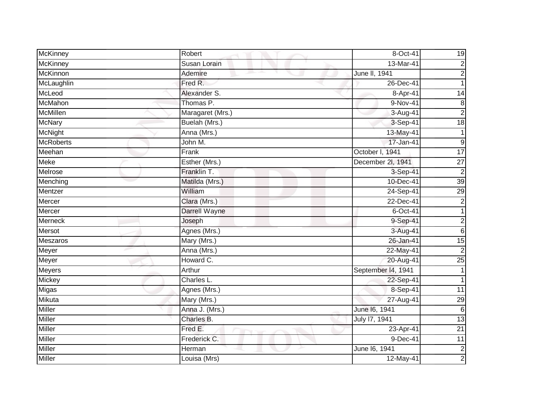| McKinney         | Robert           | 8-Oct-41           | 19               |
|------------------|------------------|--------------------|------------------|
| <b>McKinney</b>  | Susan Lorain     | 13-Mar-41          | $\overline{2}$   |
| <b>McKinnon</b>  | Ademire          | June II, 1941      | $\overline{2}$   |
| McLaughlin       | Fred R.          | 26-Dec-41          | 1                |
| McLeod           | Alexander S.     | 8-Apr-41           | $\overline{14}$  |
| McMahon          | Thomas P.        | 9-Nov-41           | $\bf 8$          |
| <b>McMillen</b>  | Maragaret (Mrs.) | 3-Aug-41           | $\overline{c}$   |
| <b>McNary</b>    | Buelah (Mrs.)    | 3-Sep-41           | $\overline{18}$  |
| <b>McNight</b>   | Anna (Mrs.)      | 13-May-41          |                  |
| <b>McRoberts</b> | John M.          | 17-Jan-41          | $\boldsymbol{9}$ |
| Meehan           | Frank            | October I, 1941    | $\overline{17}$  |
| <b>Meke</b>      | Esther (Mrs.)    | December 2l, 1941  | $\overline{27}$  |
| Melrose          | Franklin T.      | 3-Sep-41           | $\overline{c}$   |
| Menching         | Matilda (Mrs.)   | 10-Dec-41          | 39               |
| Mentzer          | William          | 24-Sep-41          | 29               |
| Mercer           | Clara (Mrs.)     | 22-Dec-41          | $\overline{c}$   |
| Mercer           | Darrell Wayne    | $6$ -Oct-41        |                  |
| Merneck          | Joseph           | 9-Sep-41           | $\overline{a}$   |
| Mersot           | Agnes (Mrs.)     | 3-Aug-41           | $6\phantom{1}$   |
| <b>Meszaros</b>  | Mary (Mrs.)      | 26-Jan-41          | 15               |
| Meyer            | Anna (Mrs.)      | 22-May-41          | $\overline{2}$   |
| Meyer            | Howard C.        | 20-Aug-41          | 25               |
| Meyers           | Arthur           | September 14, 1941 |                  |
| Mickey           | Charles L.       | 22-Sep-41          | 1                |
| Migas            | Agnes (Mrs.)     | 8-Sep-41           | $\overline{11}$  |
| Mikuta           | Mary (Mrs.)      | 27-Aug-41          | 29               |
| <b>Miller</b>    | Anna J. (Mrs.)   | June 16, 1941      | 6                |
| Miller           | Charles B.       | July 17, 1941      | 13               |
| Miller           | Fred E.          | 23-Apr-41          | 21               |
| Miller           | Frederick C.     | 9-Dec-41           | 11               |
| Miller           | Herman           | June 16, 1941      | $\overline{c}$   |
| Miller           | Louisa (Mrs)     | 12-May-41          | $\overline{2}$   |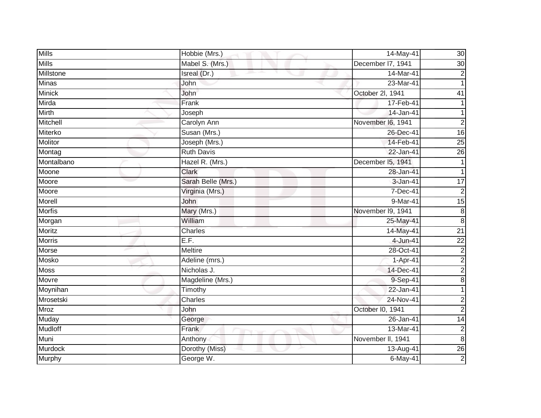| <b>Mills</b>   | Hobbie (Mrs.)      | 14-May-41         | 30              |
|----------------|--------------------|-------------------|-----------------|
| <b>Mills</b>   | Mabel S. (Mrs.)    | December I7, 1941 | $\overline{30}$ |
| Millstone      | Isreal (Dr.)       | 14-Mar-41         | $\overline{c}$  |
| <b>Minas</b>   | John               | 23-Mar-41         |                 |
| <b>Minick</b>  | John               | October 2I, 1941  | $\overline{41}$ |
| Mirda          | Frank              | 17-Feb-41         |                 |
| Mirth          | Joseph             | 14-Jan-41         |                 |
| Mitchell       | Carolyn Ann        | November I6, 1941 | $\overline{2}$  |
| Miterko        | Susan (Mrs.)       | 26-Dec-41         | 16              |
| Molitor        | Joseph (Mrs.)      | 14-Feb-41         | $\overline{25}$ |
| Montag         | <b>Ruth Davis</b>  | 22-Jan-41         | $\overline{26}$ |
| Montalbano     | Hazel R. (Mrs.)    | December 15, 1941 |                 |
| Moone          | Clark              | 28-Jan-41         |                 |
| Moore          | Sarah Belle (Mrs.) | 3-Jan-41          | $\overline{17}$ |
| Moore          | Virginia (Mrs.)    | 7-Dec-41          | $\overline{c}$  |
| Morell         | John               | 9-Mar-41          | $\overline{15}$ |
| <b>Morfis</b>  | Mary (Mrs.)        | November 19, 1941 | 8               |
| Morgan         | William            | 25-May-41         | 8               |
| Moritz         | Charles            | 14-May-41         | $\overline{21}$ |
| <b>Morris</b>  | E.F.               | 4-Jun-41          | $\overline{22}$ |
| Morse          | Meltire            | 28-Oct-41         | $\overline{c}$  |
| <b>Mosko</b>   | Adeline (mrs.)     | 1-Apr-41          | $\overline{2}$  |
| <b>Moss</b>    | Nicholas J.        | 14-Dec-41         | $\overline{c}$  |
| Movre          | Magdeline (Mrs.)   | 9-Sep-41          | 8               |
| Moynihan       | Timothy            | 22-Jan-41         |                 |
| Mrosetski      | Charles            | 24-Nov-41         | $\overline{2}$  |
| <b>Mroz</b>    | John               | October I0, 1941  | $\overline{2}$  |
| Muday          | George             | 26-Jan-41         | $\overline{14}$ |
| <b>Mudloff</b> | Frank              | 13-Mar-41         | $\overline{2}$  |
| Muni           | Anthony            | November II, 1941 | $\bf 8$         |
| Murdock        | Dorothy (Miss)     | 13-Aug-41         | 26              |
| Murphy         | George W.          | $6$ -May-41       | $\overline{2}$  |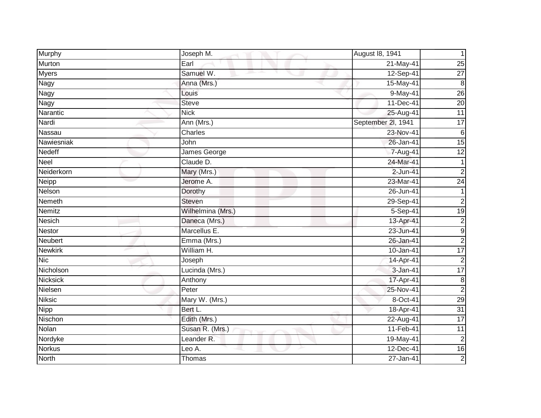| Murphy          | Joseph M.             | August 18, 1941    |                 |
|-----------------|-----------------------|--------------------|-----------------|
| Murton          | Earl                  | 21-May-41          | 25              |
| <b>Myers</b>    | Samuel W.             | 12-Sep-41          | $\overline{27}$ |
| Nagy            | Anna (Mrs.)           | 15-May-41          | ထ               |
| <b>Nagy</b>     | Louis                 | 9-May-41           | 26              |
| Nagy            | <b>Steve</b>          | 11-Dec-41          | $\overline{20}$ |
| Narantic        | <b>Nick</b>           | 25-Aug-41          | $\overline{11}$ |
| Nardi           | Ann (Mrs.)            | September 2l, 1941 | $\overline{17}$ |
| Nassau          | Charles               | 23-Nov-41          | $\,6$           |
| Nawiesniak      | John                  | 26-Jan-41          | 15              |
| Nedeff          | James George          | 7-Aug-41           | $\overline{12}$ |
| Neel            | Claude D.             | 24-Mar-41          | 1               |
| Neiderkorn      | Mary (Mrs.)           | $2$ -Jun-41        | $\overline{2}$  |
| Neipp           | Jerome A.             | 23-Mar-41          | $\overline{24}$ |
| Nelson          | Dorothy               | 26-Jun-41          | 1               |
| Nemeth          | <b>Steven</b>         | 29-Sep-41          | $\overline{2}$  |
| <b>Nemitz</b>   | Wilhelmina (Mrs.)     | $5-Sep-41$         | $\overline{19}$ |
| <b>Nesich</b>   | Daneca (Mrs.)         | 13-Apr-41          | $\overline{c}$  |
| <b>Nestor</b>   | Marcellus E.          | 23-Jun-41          | ٥               |
| Neubert         | Emma (Mrs.)           | 26-Jan-41          | $\overline{c}$  |
| <b>Newkirk</b>  | William H.            | 10-Jan-41          | 17              |
| <b>Nic</b>      | Joseph                | 14-Apr-41          | $\overline{c}$  |
| Nicholson       | Lucinda (Mrs.)        | 3-Jan-41           | 17              |
| <b>Nicksick</b> | Anthony               | 17-Apr-41          | $\bf 8$         |
| Nielsen         | Peter                 | 25-Nov-41          | $\overline{2}$  |
| <b>Niksic</b>   | Mary W. (Mrs.)        | 8-Oct-41           | 29              |
| <b>Nipp</b>     | Bert L.               | 18-Apr-41          | 31              |
| Nischon         | Edith (Mrs.)          | 22-Aug-41          | 17              |
| Nolan           | Susan R. (Mrs.)       | 11-Feb-41          | $\overline{11}$ |
| Nordyke         | Leander <sub>R.</sub> | 19-May-41          | $\overline{c}$  |
| <b>Norkus</b>   | Leo A.                | 12-Dec-41          | 16              |
| <b>North</b>    | Thomas                | 27-Jan-41          | $\overline{2}$  |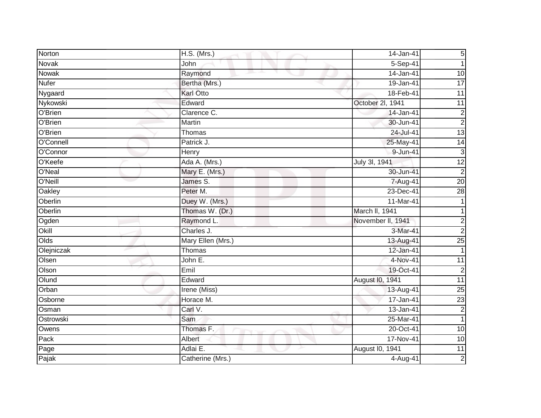| Norton             | H.S. (Mrs.)       | 14-Jan-41         | 5 <sup>1</sup>  |
|--------------------|-------------------|-------------------|-----------------|
| Novak              | John              | $5-Sep-41$        | 1               |
| Nowak              | Raymond           | 14-Jan-41         | $\overline{10}$ |
| Nufer              | Bertha (Mrs.)     | 19-Jan-41         | 17              |
| Nygaard            | <b>Karl Otto</b>  | 18-Feb-41         | $\overline{11}$ |
| Nykowski           | Edward            | October 2l, 1941  | 11              |
| O'Brien            | Clarence C.       | 14-Jan-41         | $\overline{c}$  |
| O'Brien            | Martin            | 30-Jun-41         | $\overline{c}$  |
| O'Brien            | Thomas            | 24-Jul-41         | $\overline{13}$ |
| O'Connell          | Patrick J.        | 25-May-41         | 14              |
| O'Connor           | Henry             | 9-Jun-41          | $\mathsf 3$     |
| O'Keefe            | Ada A. (Mrs.)     | July 3l, 1941     | $\overline{12}$ |
| O'Neal             | Mary E. (Mrs.)    | 30-Jun-41         | $\overline{2}$  |
| O'Neill            | James S.          | 7-Aug-41          | $\overline{20}$ |
| Oakley             | Peter M.          | 23-Dec-41         | 28              |
| Oberlin            | Duey W. (Mrs.)    | 11-Mar-41         |                 |
| Oberlin            | Thomas W. (Dr.)   | March II, 1941    |                 |
| Ogden              | Raymond L.        | November II, 1941 | $\overline{c}$  |
| Okill              | Charles J.        | 3-Mar-41          | $\overline{2}$  |
| Olds               | Mary Ellen (Mrs.) | 13-Aug-41         | 25              |
| Olejniczak         | Thomas            | 12-Jan-41         |                 |
| Olsen              | John E.           | 4-Nov-41          | $\overline{11}$ |
| Olson              | Emil              | 19-Oct-41         | $\overline{c}$  |
| Olund              | Edward            | August I0, 1941   | 11              |
| Orban              | Irene (Miss)      | 13-Aug-41         | $\overline{25}$ |
| Osborne            | Horace M.         | 17-Jan-41         | 23              |
| Osman              | Carl V.           | 13-Jan-41         | $\overline{c}$  |
| Ostrowski          | Sam               | 25-Mar-41         |                 |
| Owens              | Thomas F.         | 20-Oct-41         | 10              |
| Pack               | Albert            | 17-Nov-41         | 10              |
| $\overline{P}$ age | Adlai E.          | August I0, 1941   | $\overline{11}$ |
| Pajak              | Catherine (Mrs.)  | 4-Aug-41          | $\overline{2}$  |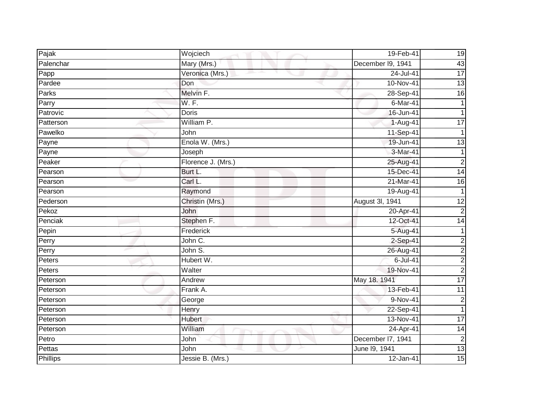| Pajak           | Wojciech                            | 19-Feb-41         | 19              |
|-----------------|-------------------------------------|-------------------|-----------------|
| Palenchar       | Mary (Mrs.)                         | December I9, 1941 | 43              |
| Papp            | Veronica (Mrs.)                     | 24-Jul-41         | 17              |
| Pardee          | Don                                 | 10-Nov-41         | 13              |
| Parks           | Melvin F.                           | 28-Sep-41         | $\overline{6}$  |
| Parry           | W. F.                               | 6-Mar-41          |                 |
| Patrovic        | Doris                               | 16-Jun-41         |                 |
| Patterson       | William P.                          | 1-Aug-41          | 17              |
| Pawelko         | John                                | 11-Sep-41         |                 |
| Payne           | Enola W. (Mrs.)                     | 19-Jun-41         | $\overline{13}$ |
| Payne           | Joseph                              | 3-Mar-41          | $\mathbf{1}$    |
| Peaker          | Florence J. (Mrs.)                  | 25-Aug-41         | $\overline{2}$  |
| Pearson         | Burt L.                             | 15-Dec-41         | $\overline{14}$ |
| Pearson         | Carl L.                             | 21-Mar-41         | 16              |
| Pearson         | Raymond                             | 19-Aug-41         | $\mathbf 1$     |
| Pederson        | Christin (Mrs.)                     | August 3l, 1941   | 12              |
| Pekoz           | John                                | 20-Apr-41         | $\overline{2}$  |
| Penciak         | Stephen F.                          | 12-Oct-41         | 14              |
| Pepin           | Frederick                           | 5-Aug-41          | 1               |
| Perry           | John C.                             | 2-Sep-41          | 2               |
| Perry           | John S.                             | 26-Aug-41         | $\overline{c}$  |
| Peters          | Hubert W.                           | $6$ -Jul-41       | 2               |
| Peters          | Walter                              | 19-Nov-41         | $\overline{2}$  |
| Peterson        | Andrew                              | May 18. 1941      | 17              |
| Peterson        | Frank A.                            | 13-Feb-41         | $\overline{11}$ |
| Peterson        | George                              | 9-Nov-41          | $\overline{c}$  |
| Peterson        | Henry                               | 22-Sep-41         | 1               |
| Peterson        | <b>Hubert</b>                       | 13-Nov-41         | $\overline{17}$ |
| Peterson        | William<br><b>The Second Second</b> | 24-Apr-41         | $\overline{14}$ |
| Petro           | John                                | December I7, 1941 | $\overline{2}$  |
| Pettas          | John                                | June 19, 1941     | 13              |
| <b>Phillips</b> | Jessie B. (Mrs.)                    | 12-Jan-41         | 15              |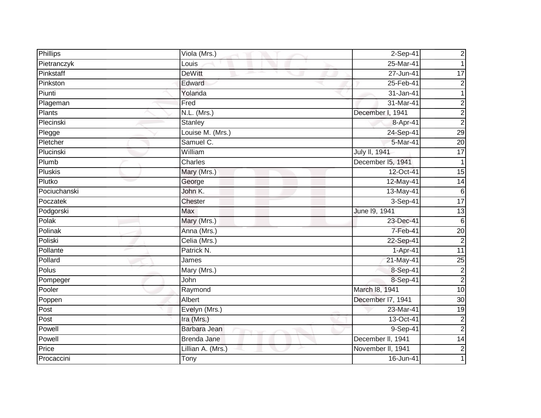| Phillips       | Viola (Mrs.)      | $2-Sep-41$        | $\overline{c}$  |
|----------------|-------------------|-------------------|-----------------|
| Pietranczyk    | Louis             | 25-Mar-41         |                 |
| Pinkstaff      | <b>DeWitt</b>     | $27 - Jun-41$     | 17              |
| Pinkston       | Edward            | 25-Feb-41         | $\overline{c}$  |
| Piunti         | Yolanda           | 31-Jan-41         | 1               |
| Plageman       | Fred              | 31-Mar-41         | $\overline{c}$  |
| Plants         | N.L. (Mrs.)       | December I, 1941  | $\overline{2}$  |
| Plecinski      | Stanley           | 8-Apr-41          | $\overline{c}$  |
| Plegge         | Louise M. (Mrs.)  | 24-Sep-41         | 29              |
| Pletcher       | Samuel C.         | 5-Mar-41          | $\overline{20}$ |
| Plucinski      | William           | July II, 1941     | $\overline{17}$ |
| Plumb          | Charles           | December 15, 1941 | 1               |
| <b>Pluskis</b> | Mary (Mrs.)       | 12-Oct-41         | $\overline{15}$ |
| Plutko         | George            | 12-May-41         | $\overline{14}$ |
| Pociuchanski   | John K.           | 13-May-41         | $6\phantom{1}6$ |
| Poczatek       | Chester           | 3-Sep-41          | 17              |
| Podgorski      | <b>Max</b>        | June 19, 1941     | $\overline{13}$ |
| Polak          | Mary (Mrs.)       | 23-Dec-41         | 6               |
| Polinak        | Anna (Mrs.)       | 7-Feb-41          | $\overline{20}$ |
| Poliski        | Celia (Mrs.)      | 22-Sep-41         | $\overline{c}$  |
| Pollante       | Patrick N.        | 1-Apr-41          | 11              |
| Pollard        | James             | 21-May-41         | 25              |
| Polus          | Mary (Mrs.)       | 8-Sep-41          | $\overline{c}$  |
| Pompeger       | John              | 8-Sep-41          | $\overline{2}$  |
| Pooler         | Raymond           | March 18, 1941    | 10              |
| Poppen         | Albert            | December 17, 1941 | 30              |
| Post           | Evelyn (Mrs.)     | 23-Mar-41         | $\overline{19}$ |
| Post           | Ira (Mrs.)        | 13-Oct-41         | $\overline{2}$  |
| Powell         | Barbara Jean      | 9-Sep-41          | $\overline{2}$  |
| Powell         | Brenda Jane       | December II, 1941 | 14              |
| Price          | Lillian A. (Mrs.) | November II, 1941 | $\overline{2}$  |
| Procaccini     | Tony              | 16-Jun-41         |                 |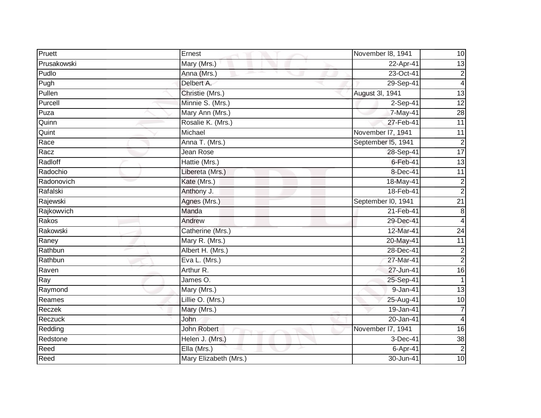| Pruett      | Ernest                | November 18, 1941  | 10                      |
|-------------|-----------------------|--------------------|-------------------------|
| Prusakowski | Mary (Mrs.)           | 22-Apr-41          | 13                      |
| Pudlo       | Anna (Mrs.)           | 23-Oct-41          | $\overline{c}$          |
| Pugh        | Delbert A.            | 29-Sep-41          | $\overline{\mathbf{4}}$ |
| Pullen      | Christie (Mrs.)       | August 3l, 1941    | 13                      |
| Purcell     | Minnie S. (Mrs.)      | 2-Sep-41           | 12                      |
| Puza        | Mary Ann (Mrs.)       | 7-May-41           | $\overline{28}$         |
| Quinn       | Rosalie K. (Mrs.)     | 27-Feb-41          | $\overline{11}$         |
| Quint       | Michael               | November I7, 1941  | 11                      |
| Race        | Anna T. (Mrs.)        | September I5, 1941 | $\overline{2}$          |
| Racz        | Jean Rose             | 28-Sep-41          | 17                      |
| Radloff     | Hattie (Mrs.)         | $6$ -Feb-41        | $\overline{13}$         |
| Radochio    | Libereta (Mrs.)       | 8-Dec-41           | $\overline{11}$         |
| Radonovich  | Kate (Mrs.)           | 18-May-41          | $\overline{2}$          |
| Rafalski    | Anthony J.            | 18-Feb-41          | $\overline{a}$          |
| Rajewski    | Agnes (Mrs.)          | September I0, 1941 | $\overline{21}$         |
| Rajkowvich  | Manda                 | 21-Feb-41          | 8                       |
| Rakos       | Andrew                | 29-Dec-41          | 4                       |
| Rakowski    | Catherine (Mrs.)      | 12-Mar-41          | $\overline{24}$         |
| Raney       | Mary R. (Mrs.)        | 20-May-41          | 11                      |
| Rathbun     | Albert H. (Mrs.)      | 28-Dec-41          | $\overline{c}$          |
| Rathbun     | Eva L. (Mrs.)         | 27-Mar-41          | $\overline{2}$          |
| Raven       | Arthur R.             | 27-Jun-41          | $\overline{16}$         |
| Ray         | James O.              | 25-Sep-41          | 1                       |
| Raymond     | Mary (Mrs.)           | $9-Jan-41$         | $\overline{13}$         |
| Reames      | Lillie O. (Mrs.)      | $25 - Aug-41$      | $\overline{10}$         |
| Reczek      | Mary (Mrs.)           | 19-Jan-41          |                         |
| Reczuck     | <b>John</b>           | 20-Jan-41          | $\overline{4}$          |
| Redding     | <b>John Robert</b>    | November I7, 1941  | 16                      |
| Redstone    | Helen J. (Mrs.)       | 3-Dec-41           | 38                      |
| Reed        | Ella (Mrs.)           | 6-Apr-41           | $\overline{2}$          |
| Reed        | Mary Elizabeth (Mrs.) | 30-Jun-41          | 10                      |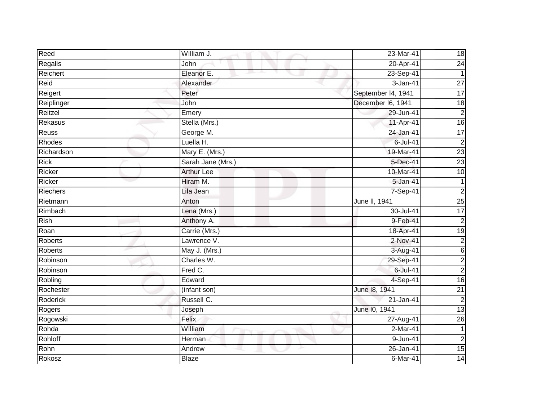| Reed            | William J.        | 23-Mar-41          | 18              |
|-----------------|-------------------|--------------------|-----------------|
| Regalis         | John              | 20-Apr-41          | $\overline{24}$ |
| Reichert        | Eleanor E.        | 23-Sep-41          | 1               |
| Reid            | Alexander         | 3-Jan-41           | $\overline{27}$ |
| Reigert         | Peter             | September I4, 1941 | 17              |
| Reiplinger      | John              | December I6, 1941  | 18              |
| Reitzel         | Emery             | 29-Jun-41          | $\overline{2}$  |
| <b>Rekasus</b>  | Stella (Mrs.)     | 11-Apr-41          | 16              |
| Reuss           | George M.         | 24-Jan-41          | $\overline{17}$ |
| Rhodes          | Luella H.         | 6-Jul-41           | $\overline{2}$  |
| Richardson      | Mary E. (Mrs.)    | 19-Mar-41          | 23              |
| <b>Rick</b>     | Sarah Jane (Mrs.) | 5-Dec-41           | 23              |
| Ricker          | <b>Arthur Lee</b> | 10-Mar-41          | 10              |
| Ricker          | Hiram M.          | 5-Jan-41           |                 |
| <b>Riechers</b> | Lila Jean         | 7-Sep-41           | $\overline{2}$  |
| Rietmann        | Anton             | June II, 1941      | 25              |
| Rimbach         | Lena (Mrs.)       | 30-Jul-41          | 17              |
| <b>Rish</b>     | Anthony A.        | 9-Feb-41           | $\overline{c}$  |
| Roan            | Carrie (Mrs.)     | 18-Apr-41          | 19              |
| <b>Roberts</b>  | Lawrence V.       | $2-Nov-41$         | $\overline{2}$  |
| <b>Roberts</b>  | May J. (Mrs.)     | 3-Aug-41           | $\,6$           |
| Robinson        | Charles W.        | 29-Sep-41          | $\overline{2}$  |
| Robinson        | Fred C.           | $6$ -Jul-41        | $\overline{c}$  |
| Robling         | Edward            | 4-Sep-41           | 16              |
| Rochester       | (infant son)      | June 18, 1941      | $\overline{21}$ |
| Roderick        | Russell C.        | 21-Jan-41          | $\overline{2}$  |
| Rogers          | Joseph            | June 10, 1941      | 13              |
| Rogowski        | Felix             | 27-Aug-41          | 26              |
| Rohda           | William           | 2-Mar-41           | $\mathbf{1}$    |
| Rohloff         | Herman            | 9-Jun-41           | $\overline{c}$  |
| Rohn            | Andrew            | 26-Jan-41          | 15              |
| Rokosz          | <b>Blaze</b>      | $6$ -Mar-41        | 14              |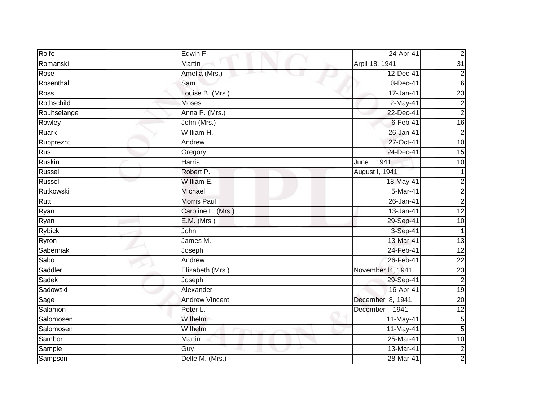| Rolfe       | Edwin F.              | 24-Apr-41         | $\mathbf 2$             |
|-------------|-----------------------|-------------------|-------------------------|
| Romanski    | Martin                | Arpil 18, 1941    | $\overline{31}$         |
| Rose        | Amelia (Mrs.)         | 12-Dec-41         | 2                       |
| Rosenthal   | Sam                   | 8-Dec-41          | $6\phantom{1}6$         |
| Ross        | Louise B. (Mrs.)      | 17-Jan-41         | 23                      |
| Rothschild  | <b>Moses</b>          | $2-May-41$        | $\overline{\mathbf{c}}$ |
| Rouhselange | Anna P. (Mrs.)        | 22-Dec-41         | $\overline{2}$          |
| Rowley      | John (Mrs.)           | $6$ -Feb-41       | 16                      |
| Ruark       | William H.            | 26-Jan-41         | $\mathbf 2$             |
| Rupprezht   | Andrew                | 27-Oct-41         | $\overline{10}$         |
| Rus         | Gregory               | 24-Dec-41         | 15                      |
| Ruskin      | <b>Harris</b>         | June I, 1941      | 10                      |
| Russell     | Robert P.             | August I, 1941    | 1                       |
| Russell     | William E.            | 18-May-41         | 2                       |
| Rutkowski   | Michael               | 5-Mar-41          | $\overline{c}$          |
| Rutt        | <b>Morris Paul</b>    | 26-Jan-41         | $\overline{2}$          |
| Ryan        | Caroline L. (Mrs.)    | 13-Jan-41         | 12                      |
| Ryan        | E.M. (Mrs.)           | 29-Sep-41         | 10                      |
| Rybicki     | John                  | 3-Sep-41          | 1                       |
| Ryron       | James M.              | 13-Mar-41         | $\overline{3}$          |
| Saberniak   | Joseph                | 24-Feb-41         | $\overline{12}$         |
| Sabo        | Andrew                | 26-Feb-41         | $\overline{22}$         |
| Saddler     | Elizabeth (Mrs.)      | November 14, 1941 | 23                      |
| Sadek       | Joseph                | 29-Sep-41         | $\overline{2}$          |
| Sadowski    | Alexander             | 16-Apr-41         | 19                      |
| Sage        | <b>Andrew Vincent</b> | December 18, 1941 | 20                      |
| Salamon     | Peter L.              | December I, 1941  | $\overline{12}$         |
| Salomosen   | <b>Wilhelm</b>        | 11-May-41         | $\overline{5}$          |
| Salomosen   | Wilhelm               | 11-May-41         | 5                       |
| Sambor      | Martin                | 25-Mar-41         | 10                      |
| Sample      | Guy                   | $13-Mar-41$       | $\overline{\mathbf{c}}$ |
| Sampson     | Delle M. (Mrs.)       | $28-Mar-41$       | $\overline{2}$          |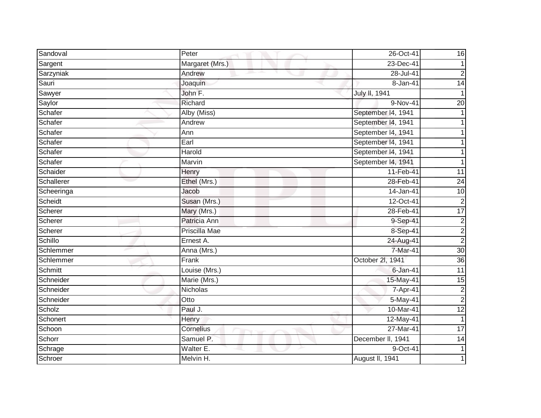| Sandoval   | Peter           | 26-Oct-41          | 16                      |
|------------|-----------------|--------------------|-------------------------|
| Sargent    | Margaret (Mrs.) | 23-Dec-41          |                         |
| Sarzyniak  | Andrew          | $28 -$ Jul-41      | $\overline{c}$          |
| Sauri      | Joaquin         | 8-Jan-41           | $\overline{14}$         |
| Sawyer     | John F.         | July II, 1941      |                         |
| Saylor     | Richard         | 9-Nov-41           | $\overline{20}$         |
| Schafer    | Alby (Miss)     | September I4, 1941 |                         |
| Schafer    | Andrew          | September 14, 1941 |                         |
| Schafer    | Ann             | September 14, 1941 |                         |
| Schafer    | Earl            | September 14, 1941 |                         |
| Schafer    | Harold          | September 14, 1941 |                         |
| Schafer    | Marvin          | September 14, 1941 |                         |
| Schaider   | Henry           | 11-Feb-41          | $\overline{11}$         |
| Schallerer | Ethel (Mrs.)    | 28-Feb-41          | $\overline{24}$         |
| Scheeringa | Jacob           | 14-Jan-41          | 10                      |
| Scheidt    | Susan (Mrs.)    | 12-Oct-41          | $\overline{2}$          |
| Scherer    | Mary (Mrs.)     | 28-Feb-41          | $\overline{17}$         |
| Scherer    | Patricia Ann    | 9-Sep-41           | $\overline{\mathbf{c}}$ |
| Scherer    | Priscilla Mae   | 8-Sep-41           | $\overline{2}$          |
| Schillo    | Ernest A.       | 24-Aug-41          | $\overline{2}$          |
| Schlemmer  | Anna (Mrs.)     | 7-Mar-41           | 30                      |
| Schlemmer  | Frank           | October 2l, 1941   | 36                      |
| Schmitt    | Louise (Mrs.)   | $6$ -Jan-41        | $\overline{11}$         |
| Schneider  | Marie (Mrs.)    | 15-May-41          | 15                      |
| Schneider  | Nicholas        | 7-Apr-41           | $\frac{2}{2}$           |
| Schneider  | Otto            | 5-May-41           |                         |
| Scholz     | Paul J.         | 10-Mar-41          | 12                      |
| Schonert   | Henry           | 12-May-41          |                         |
| Schoon     | Cornelius       | 27-Mar-41          | $\overline{17}$         |
| Schorr     | Samuel P.       | December II, 1941  | 14                      |
| Schrage    | Walter E.       | 9-Oct-41           |                         |
| Schroer    | Melvin H.       | August II, 1941    |                         |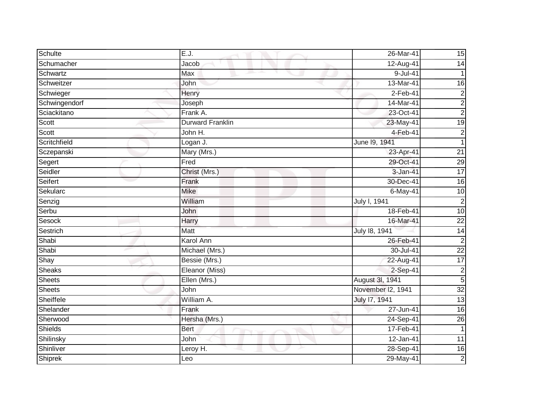| Schulte       | E.J.                    | 26-Mar-41         | 15              |
|---------------|-------------------------|-------------------|-----------------|
| Schumacher    | Jacob                   | 12-Aug-41         | $\overline{14}$ |
| Schwartz      | Max                     | $9$ -Jul-41       | 1               |
| Schweitzer    | John                    | 13-Mar-41         | 16              |
| Schwieger     | Henry                   | $2-Feb-41$        | $\overline{2}$  |
| Schwingendorf | Joseph                  | 14-Mar-41         | $\overline{c}$  |
| Sciackitano   | Frank A.                | 23-Oct-41         | $\overline{2}$  |
| Scott         | <b>Durward Franklin</b> | 23-May-41         | 19              |
| Scott         | John H.                 | $4-Feb-41$        | $\overline{c}$  |
| Scritchfield  | Logan J.                | June 19, 1941     | 1               |
| Sczepanski    | Mary (Mrs.)             | 23-Apr-41         | $\overline{21}$ |
| Segert        | Fred                    | 29-Oct-41         | $\overline{29}$ |
| Seidler       | Christ (Mrs.)           | 3-Jan-41          | 17              |
| Seifert       | Frank                   | 30-Dec-41         | $\overline{16}$ |
| Sekularc      | <b>Mike</b>             | 6-May-41          | $\overline{10}$ |
| Senzig        | William                 | July I, 1941      | $\overline{2}$  |
| Serbu         | John                    | 18-Feb-41         | 10              |
| Sesock        | Harry                   | 16-Mar-41         | $\overline{22}$ |
| Sestrich      | <b>Matt</b>             | July 18, 1941     | $\overline{14}$ |
| Shabi         | <b>Karol Ann</b>        | 26-Feb-41         | $\overline{2}$  |
| Shabi         | Michael (Mrs.)          | 30-Jul-41         | $\overline{22}$ |
| Shay          | Bessie (Mrs.)           | 22-Aug-41         | 17              |
| <b>Sheaks</b> | Eleanor (Miss)          | 2-Sep-41          | $\overline{c}$  |
| <b>Sheets</b> | Ellen (Mrs.)            | August 3I, 1941   | 5               |
| <b>Sheets</b> | John                    | November I2, 1941 | 32              |
| Sheiffele     | William A.              | July 17, 1941     | 13              |
| Shelander     | Frank                   | 27-Jun-41         | $\overline{6}$  |
| Sherwood      | Hersha (Mrs.)           | 24-Sep-41         | 26              |
| Shields       | <b>Bert</b>             | 17-Feb-41         | $\mathbf{1}$    |
| Shilinsky     | John                    | 12-Jan-41         | 11              |
| Shinliver     | Leroy H.                | 28-Sep-41         | $\overline{16}$ |
| Shiprek       | Leo                     | 29-May-41         | $\overline{2}$  |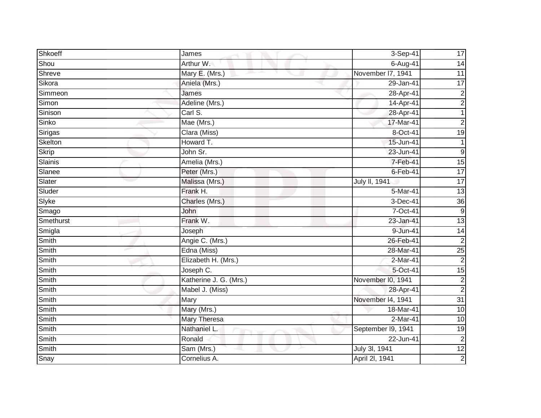| Shkoeff      | James                  | 3-Sep-41           | 17              |
|--------------|------------------------|--------------------|-----------------|
| Shou         | Arthur W.              | 6-Aug-41           | 14              |
| Shreve       | Mary E. (Mrs.)         | November 17, 1941  | 11              |
| Sikora       | Aniela (Mrs.)          | 29-Jan-41          | $\overline{17}$ |
| Simmeon      | James                  | 28-Apr-41          | $\overline{2}$  |
| Simon        | Adeline (Mrs.)         | 14-Apr-41          | $\overline{c}$  |
| Sinison      | Carl S.                | 28-Apr-41          | $\mathbf{1}$    |
| Sinko        | Mae (Mrs.)             | 17-Mar-41          | $\overline{a}$  |
| Sirigas      | Clara (Miss)           | 8-Oct-41           | 19              |
| Skelton      | Howard T.              | 15-Jun-41          |                 |
| <b>Skrip</b> | John Sr.               | 23-Jun-41          | $9\,$           |
| Slainis      | Amelia (Mrs.)          | 7-Feb-41           | 15              |
| Slanee       | Peter (Mrs.)           | $6$ -Feb-41        | $\overline{17}$ |
| Slater       | Malissa (Mrs.)         | July II, 1941      | $\overline{17}$ |
| Sluder       | Frank H.               | 5-Mar-41           | 13              |
| Slyke        | Charles (Mrs.)         | 3-Dec-41           | $\overline{36}$ |
| Smago        | John                   | 7-Oct-41           | ဖ               |
| Smethurst    | Frank W.               | 23-Jan-41          | 13              |
| Smigla       | Joseph                 | 9-Jun-41           | 14              |
| Smith        | Angie C. (Mrs.)        | 26-Feb-41          | $\overline{2}$  |
| <b>Smith</b> | Edna (Miss)            | 28-Mar-41          | 25              |
| Smith        | Elizabeth H. (Mrs.)    | 2-Mar-41           | $\overline{2}$  |
| Smith        | Joseph C.              | 5-Oct-41           | 15              |
| Smith        | Katherine J. G. (Mrs.) | November I0, 1941  | $\overline{c}$  |
| Smith        | Mabel J. (Miss)        | 28-Apr-41          | $\overline{2}$  |
| Smith        | Mary                   | November I4, 1941  | $\overline{31}$ |
| <b>Smith</b> | Mary (Mrs.)            | 18-Mar-41          | $\overline{10}$ |
| Smith        | Mary Theresa           | 2-Mar-41           | 10              |
| Smith        | Nathaniel L.           | September I9, 1941 | 19              |
| Smith        | Ronald                 | 22-Jun-41          | $\overline{2}$  |
| Smith        | Sam (Mrs.)             | July 3l, 1941      | $\overline{12}$ |
| Snay         | Cornelius A.           | April 2I, 1941     | $\overline{2}$  |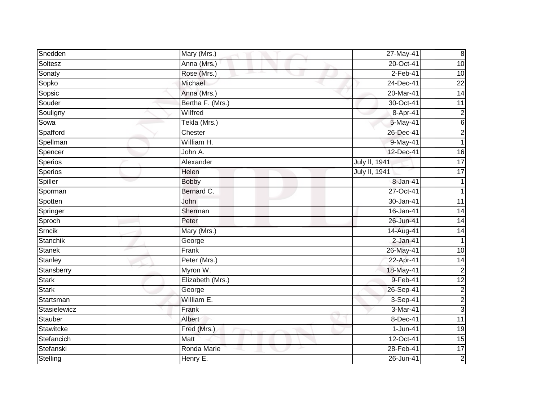| Snedden       | Mary (Mrs.)                 | 27-May-41            | $\infty$        |
|---------------|-----------------------------|----------------------|-----------------|
| Soltesz       | Anna (Mrs.)                 | 20-Oct-41            | 10              |
| Sonaty        | Rose (Mrs.)                 | $2-Feb-41$           | $\overline{10}$ |
| Sopko         | Michael                     | 24-Dec-41            | $\overline{22}$ |
| Sopsic        | Anna (Mrs.)                 | 20-Mar-41            | 14              |
| Souder        | Bertha F. (Mrs.)            | 30-Oct-41            | 11              |
| Souligny      | Wilfred                     | 8-Apr-41             | $\overline{c}$  |
| Sowa          | Tekla (Mrs.)                | 5-May-41             | 6               |
| Spafford      | Chester                     | 26-Dec-41            | $\overline{c}$  |
| Spellman      | William H.                  | 9-May-41             |                 |
| Spencer       | John A.                     | 12-Dec-41            | $\overline{16}$ |
| Sperios       | Alexander                   | <b>July II, 1941</b> | $\overline{17}$ |
| Sperios       | Helen                       | July II, 1941        | $\overline{17}$ |
| Spiller       | <b>Bobby</b>                | 8-Jan-41             |                 |
| Sporman       | Bernard C.                  | 27-Oct-41            |                 |
| Spotten       | John                        | 30-Jan-41            | 11              |
| Springer      | Sherman                     | 16-Jan-41            | $\overline{14}$ |
| Sproch        | Peter                       | 26-Jun-41            | 14              |
| Srncik        | Mary (Mrs.)                 | 14-Aug-41            | 14              |
| Stanchik      | George                      | $2-Jan-41$           | 1               |
| <b>Stanek</b> | Frank                       | 26-May-41            | 10              |
| Stanley       | Peter (Mrs.)                | 22-Apr-41            | 14              |
| Stansberry    | Myron W.                    | 18-May-41            | $\overline{c}$  |
| <b>Stark</b>  | Elizabeth (Mrs.)            | 9-Feb-41             | 12              |
| <b>Stark</b>  | George                      | 26-Sep-41            | $\overline{2}$  |
| Startsman     | William E.                  | $3-$ Sep-41          | $\overline{c}$  |
| Stasielewicz  | Frank                       | 3-Mar-41             | دن              |
| Stauber       | Albert                      | 8-Dec-41             | $\overline{11}$ |
| Stawitcke     | Fred (Mrs.)                 | 1-Jun-41             | $\overline{19}$ |
| Stefancich    | $\overline{\mathsf{M}}$ att | 12-Oct-41            | 15              |
| Stefanski     | Ronda Marie                 | 28-Feb-41            | 17              |
| Stelling      | Henry E.                    | 26-Jun-41            | $\overline{2}$  |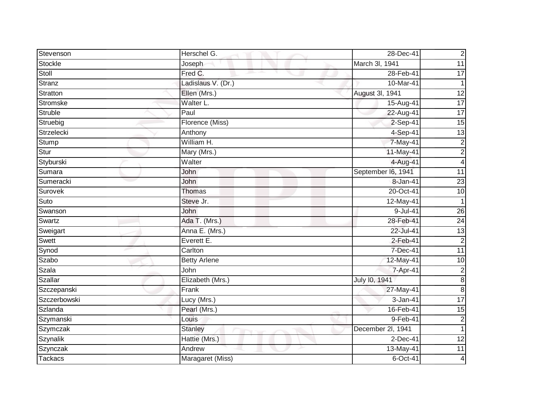| Stevenson    | Herschel G.         | 28-Dec-41          | $\overline{2}$          |
|--------------|---------------------|--------------------|-------------------------|
| Stockle      | Joseph              | March 3I, 1941     | $\overline{11}$         |
| Stoll        | Fred C.             | 28-Feb-41          | 17                      |
| Stranz       | Ladislaus V. (Dr.)  | 10-Mar-41          | 1                       |
| Stratton     | Ellen (Mrs.)        | August 3l, 1941    | 12                      |
| Stromske     | Walter L.           | 15-Aug-41          | $\overline{17}$         |
| Struble      | Paul                | 22-Aug-41          | 17                      |
| Struebig     | Florence (Miss)     | 2-Sep-41           | 15                      |
| Strzelecki   | Anthony             | 4-Sep-41           | $\overline{13}$         |
| Stump        | William H.          | 7-May-41           | $\overline{2}$          |
| Stur         | Mary (Mrs.)         | $11-May-41$        | $\overline{c}$          |
| Styburski    | Walter              | 4-Aug-41           | $\overline{\mathbf{4}}$ |
| Sumara       | John                | September I6, 1941 | 11                      |
| Sumeracki    | John                | 8-Jan-41           | $\overline{23}$         |
| Surovek      | Thomas              | 20-Oct-41          | 10                      |
| Suto         | Steve Jr.           | 12-May-41          |                         |
| Swanson      | John                | 9-Jul-41           | $\overline{26}$         |
| Swartz       | Ada T. (Mrs.)       | 28-Feb-41          | $\overline{24}$         |
| Sweigart     | Anna E. (Mrs.)      | 22-Jul-41          | 13                      |
| Swett        | Everett E.          | $2-Feb-41$         | $\overline{2}$          |
| Synod        | Carlton             | 7-Dec-41           | $\overline{11}$         |
| Szabo        | <b>Betty Arlene</b> | 12-May-41          | 10                      |
| Szala        | John                | 7-Apr-41           | $\overline{\mathbf{c}}$ |
| Szallar      | Elizabeth (Mrs.)    | July 10, 1941      | $\infty$                |
| Szczepanski  | Frank               | 27-May-41          | $\overline{8}$          |
| Szczerbowski | Lucy (Mrs.)         | 3-Jan-41           | 17                      |
| Szlanda      | Pearl (Mrs.)        | 16-Feb-41          | 15                      |
| Szymanski    | Louis               | $9-Feb-41$         | $\overline{2}$          |
| Szymczak     | <b>Stanley</b>      | December 2l, 1941  | $\overline{1}$          |
| Szynalik     | Hattie (Mrs.)       | $2$ -Dec-41        | 12                      |
| Szynczak     | Andrew              | 13-May-41          | 11                      |
| Tackacs      | Maragaret (Miss)    | $6$ -Oct-41        | 4                       |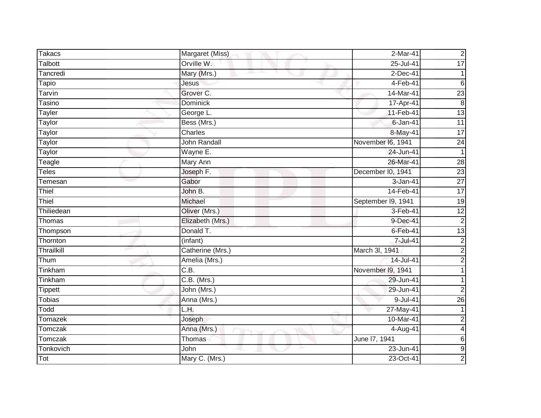| <b>Takacs</b>  | Margaret (Miss)  | 2-Mar-41           | $\overline{2}$           |
|----------------|------------------|--------------------|--------------------------|
| <b>Talbott</b> | Orville W.       | 25-Jul-41          | $\overline{17}$          |
| Tancredi       | Mary (Mrs.)      | $2$ -Dec-41        |                          |
| Tapio          | Jesus            | 4-Feb-41           | $6\phantom{1}$           |
| Tarvin         | Grover C.        | 14-Mar-41          | 23                       |
| Tasino         | Dominick         | 17-Apr-41          | 8                        |
| Tayler         | George L.        | 11-Feb-41          | 13                       |
| Taylor         | Bess (Mrs.)      | 6-Jan-41           | $\overline{11}$          |
| Taylor         | Charles          | 8-May-41           | $\overline{17}$          |
| Taylor         | John Randall     | November I6, 1941  | $\overline{24}$          |
| Taylor         | Wayne E.         | 24-Jun-41          | $\mathbf{1}$             |
| Teagle         | Mary Ann         | 26-Mar-41          | 28                       |
| <b>Teles</b>   | Joseph F.        | December I0, 1941  | $\overline{23}$          |
| Temesan        | Gabor            | 3-Jan-41           | $\overline{27}$          |
| Thiel          | John B.          | 14-Feb-41          | $\overline{17}$          |
| Thiel          | Michael          | September I9, 1941 | $\overline{19}$          |
| Thiliedean     | Oliver (Mrs.)    | 3-Feb-41           | $\overline{12}$          |
| Thomas         | Elizabeth (Mrs.) | 9-Dec-41           | $\overline{c}$           |
| Thompson       | Donald T.        | $6$ -Feb-41        | 13                       |
| Thornton       | (infant)         | 7-Jul-41           | $\overline{c}$           |
| Thrailkill     | Catherine (Mrs.) | March 3l, 1941     | $\overline{c}$           |
| Thum           | Amelia (Mrs.)    | 14-Jul-41          | $\overline{c}$           |
| Tinkham        | C.B.             | November I9, 1941  |                          |
| Tinkham        | $C.B.$ (Mrs.)    | 29-Jun-41          |                          |
| <b>Tippett</b> | John (Mrs.)      | 29-Jun-41          | $\overline{2}$           |
| <b>Tobias</b>  | Anna (Mrs.)      | $9 -$ Jul-41       | $\overline{26}$          |
| Todd           | L.H.             | 27-May-41          |                          |
| Tomazek        | Joseph           | 10-Mar-41          | $\overline{2}$           |
| Tomczak        | Anna (Mrs.)      | 4-Aug-41           | $\overline{\mathcal{L}}$ |
| Tomczak        | Thomas           | June 17, 1941      | 6                        |
| Tonkovich      | John             | 23-Jun-41          | G)                       |
| Tot            | Mary C. (Mrs.)   | 23-Oct-41          | $\overline{2}$           |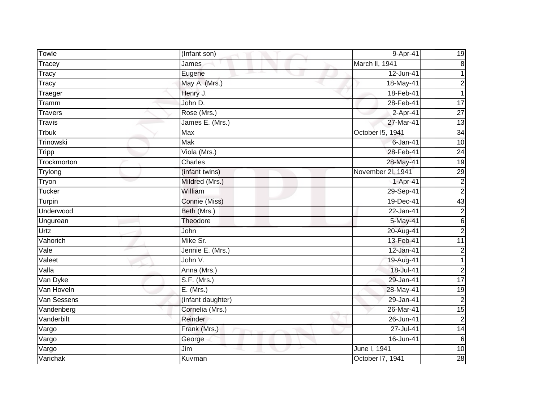| Towle          | (Infant son)      | 9-Apr-41          | 19                      |
|----------------|-------------------|-------------------|-------------------------|
| Tracey         | James             | March II, 1941    | 8                       |
| Tracy          | Eugene            | 12-Jun-41         |                         |
| Tracy          | May A. (Mrs.)     | 18-May-41         | $\overline{\mathbf{c}}$ |
| Traeger        | Henry J.          | 18-Feb-41         | 1                       |
| Tramm          | John D.           | 28-Feb-41         | $\overline{17}$         |
| <b>Travers</b> | Rose (Mrs.)       | 2-Apr-41          | $\overline{27}$         |
| <b>Travis</b>  | James E. (Mrs.)   | 27-Mar-41         | 13                      |
| <b>Trbuk</b>   | Max               | October I5, 1941  | 34                      |
| Trinowski      | <b>Mak</b>        | $6$ -Jan-41       | 10                      |
| <b>Tripp</b>   | Viola (Mrs.)      | 28-Feb-41         | 24                      |
| Trockmorton    | Charles           | 28-May-41         | $\overline{19}$         |
| Trylong        | (infant twins)    | November 2l, 1941 | 29                      |
| Tryon          | Mildred (Mrs.)    | 1-Apr-41          | $\overline{2}$          |
| <b>Tucker</b>  | William           | 29-Sep-41         | $\overline{2}$          |
| Turpin         | Connie (Miss)     | 19-Dec-41         | 43                      |
| Underwood      | Beth (Mrs.)       | 22-Jan-41         | $\overline{2}$          |
| Ungurean       | Theodore          | 5-May-41          | $6\phantom{1}$          |
| Urtz           | John              | 20-Aug-41         | $\overline{c}$          |
| Vahorich       | Mike Sr.          | 13-Feb-41         | $\overline{11}$         |
| Vale           | Jennie E. (Mrs.)  | 12-Jan-41         | $\overline{c}$          |
| Valeet         | John V.           | 19-Aug-41         | 1                       |
| Valla          | Anna (Mrs.)       | 18-Jul-41         | $\overline{2}$          |
| Van Dyke       | S.F. (Mrs.)       | 29-Jan-41         | $\overline{17}$         |
| Van Hoveln     | $E.$ (Mrs.)       | 28-May-41         | 19                      |
| Van Sessens    | (infant daughter) | 29-Jan-41         | $\overline{2}$          |
| Vandenberg     | Cornelia (Mrs.)   | 26-Mar-41         | 15                      |
| Vanderbilt     | Reinder           | 26-Jun-41         | $\overline{2}$          |
| Vargo          | Frank (Mrs.)      | 27-Jul-41         | $\overline{14}$         |
| Vargo          | George            | 16-Jun-41         | $6\phantom{1}6$         |
| Vargo          | Jim               | June I, 1941      | 10                      |
| Varichak       | Kuvman            | October 17, 1941  | 28                      |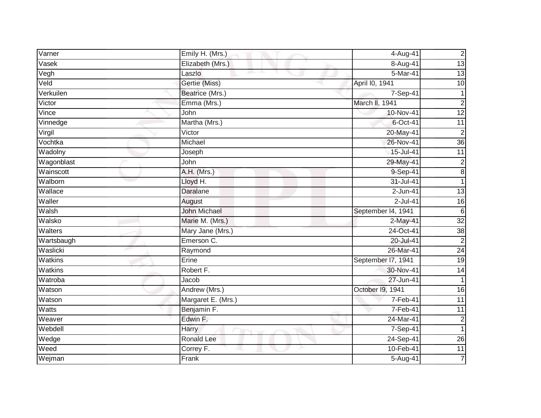| Varner       | Emily H. (Mrs.)      | 4-Aug-41           | $\overline{c}$  |
|--------------|----------------------|--------------------|-----------------|
| Vasek        | Elizabeth (Mrs.)     | 8-Aug-41           | 13              |
| Vegh         | Laszlo               | 5-Mar-41           | $\overline{13}$ |
| Veld         | Gertie (Miss)        | April I0, 1941     | 10              |
| Verkuilen    | Beatrice (Mrs.)      | $7-Sep-41$         | 1               |
| Victor       | Emma (Mrs.)          | March II, 1941     | $\overline{c}$  |
| Vince        | John                 | 10-Nov-41          | 12              |
| Vinnedge     | Martha (Mrs.)        | 6-Oct-41           | $\overline{11}$ |
| Virgil       | $\overline{V}$ ictor | 20-May-41          | $\overline{2}$  |
| Vochtka      | Michael              | 26-Nov-41          | $\overline{36}$ |
| Wadolny      | Joseph               | 15-Jul-41          | $\overline{11}$ |
| Wagonblast   | John                 | 29-May-41          | $\overline{c}$  |
| Wainscott    | A.H. (Mrs.)          | 9-Sep-41           | 8               |
| Walborn      | Lloyd H.             | 31-Jul-41          | 1               |
| Wallace      | <b>Daralane</b>      | $2$ -Jun-41        | 13              |
| Waller       | August               | $2$ -Jul-41        | 16              |
| Walsh        | <b>John Michael</b>  | September 14, 1941 | 6               |
| Walsko       | Marie M. (Mrs.)      | 2-May-41           | $\overline{32}$ |
| Walters      | Mary Jane (Mrs.)     | 24-Oct-41          | $\overline{38}$ |
| Wartsbaugh   | Emerson C.           | 20-Jul-41          | $\overline{2}$  |
| Waslicki     | Raymond              | 26-Mar-41          | $\overline{24}$ |
| Watkins      | Erine                | September 17, 1941 | 19              |
| Watkins      | Robert F.            | 30-Nov-41          | $\overline{14}$ |
| Watroba      | Jacob                | 27-Jun-41          | 1               |
| Watson       | Andrew (Mrs.)        | October 19, 1941   | 16              |
| Watson       | Margaret E. (Mrs.)   | 7-Feb-41           | $\overline{11}$ |
| <b>Watts</b> | Benjamin F.          | 7-Feb-41           | $\overline{11}$ |
| Weaver       | Edwin F.             | 24-Mar-41          | $\overline{2}$  |
| Webdell      | Harry                | 7-Sep-41           |                 |
| Wedge        | <b>Ronald Lee</b>    | 24-Sep-41          | $\overline{26}$ |
| Weed         | Correy F.            | 10-Feb-41          | $\overline{11}$ |
| Wejman       | Frank                | $5 - Aug-41$       | 7               |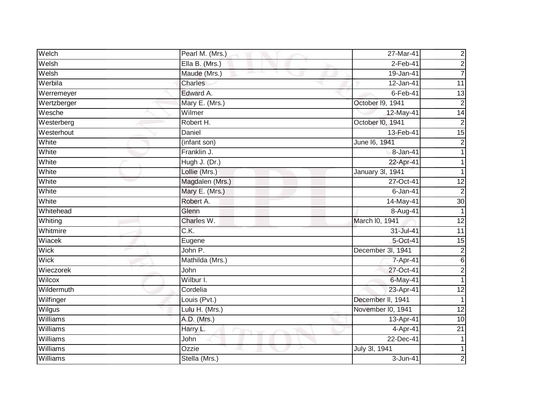| Welch           | Pearl M. (Mrs.)   | 27-Mar-41         | $\overline{c}$  |
|-----------------|-------------------|-------------------|-----------------|
| Welsh           | Ella B. (Mrs.)    | $2$ -Feb-41       | $\overline{2}$  |
| Welsh           | Maude (Mrs.)      | 19-Jan-41         | 7               |
| Werbila         | Charles           | 12-Jan-41         | 11              |
| Werremeyer      | Edward A.         | $6$ -Feb-41       | $\overline{3}$  |
| Wertzberger     | Mary E. (Mrs.)    | October I9, 1941  | $\overline{c}$  |
| Wesche          | Wilmer            | 12-May-41         | 14              |
| Westerberg      | Robert H.         | October I0, 1941  | $\overline{2}$  |
| Westerhout      | Daniel            | 13-Feb-41         | 15              |
| White           | (infant son)      | June 16, 1941     | $\overline{2}$  |
| White           | Franklin J.       | 8-Jan-41          |                 |
| White           | Hugh J. (Dr.)     | 22-Apr-41         |                 |
| White           | Lollie (Mrs.)     | January 3l, 1941  |                 |
| White           | Magdalen (Mrs.)   | 27-Oct-41         | 12              |
| White           | Mary E. (Mrs.)    | $6 - Jan - 41$    | $\overline{2}$  |
| White           | Robert A.         | 14-May-41         | 30              |
| Whitehead       | Glenn             | 8-Aug-41          |                 |
| Whiting         | Charles W.        | March I0, 1941    | $\overline{12}$ |
| Whitmire        | $\overline{C.K.}$ | 31-Jul-41         | 11              |
| Wiacek          | Eugene            | 5-Oct-41          | $\overline{15}$ |
| Wick            | John P.           | December 3l, 1941 | $\overline{c}$  |
| Wick            | Mathilda (Mrs.)   | 7-Apr-41          | $6\phantom{1}$  |
| Wieczorek       | John              | 27-Oct-41         | $\overline{c}$  |
| Wilcox          | Wilbur I.         | $6$ -May-41       |                 |
| Wildermuth      | Cordelia          | 23-Apr-41         | 12              |
| Wilfinger       | Louis (Pvt.)      | December II, 1941 |                 |
| Wilgus          | Lulu H. (Mrs.)    | November I0, 1941 | $\overline{12}$ |
| Williams        | A.D. (Mrs.)       | 13-Apr-41         | 10              |
| Williams        | Harry L.          | 4-Apr-41          | 21              |
| Williams        | John              | 22-Dec-41         |                 |
| Williams        | Ozzie             | July 3I, 1941     |                 |
| <b>Williams</b> | Stella (Mrs.)     | $3 - Jun-41$      | $\overline{2}$  |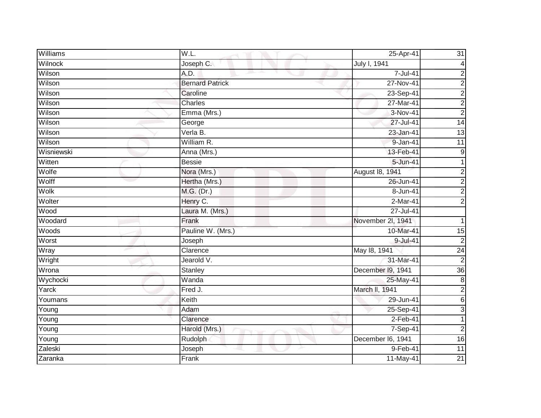| Williams   | W.L.                         | 25-Apr-41         | 31              |
|------------|------------------------------|-------------------|-----------------|
| Wilnock    | Joseph C.                    | July I, 1941      | 4               |
| Wilson     | A.D.                         | $7 -$ Jul-41      | $\overline{c}$  |
| Wilson     | <b>Bernard Patrick</b>       | 27-Nov-41         | $\overline{c}$  |
| Wilson     | Caroline                     | 23-Sep-41         | $\overline{2}$  |
| Wilson     | Charles                      | 27-Mar-41         | $\overline{c}$  |
| Wilson     | Emma (Mrs.)                  | 3-Nov-41          | $\overline{2}$  |
| Wilson     | George                       | 27-Jul-41         | $\overline{14}$ |
| Wilson     | $\overline{\text{Verla}}$ B. | 23-Jan-41         | $\overline{13}$ |
| Wilson     | William R.                   | 9-Jan-41          | 11              |
| Wisniewski | Anna (Mrs.)                  | 13-Feb-41         | $9\,$           |
| Witten     | <b>Bessie</b>                | 5-Jun-41          | 1               |
| Wolfe      | Nora (Mrs.)                  | August 18, 1941   | $\overline{c}$  |
| Wolff      | Hertha (Mrs.)                | 26-Jun-41         | $\overline{c}$  |
| Wolk       | M.G. (Dr.)                   | 8-Jun-41          | $\overline{c}$  |
| Wolter     | Henry C.                     | 2-Mar-41          | $\overline{2}$  |
| Wood       | Laura M. (Mrs.)              | $27 -$ Jul-41     |                 |
| Woodard    | Frank                        | November 2l, 1941 | 1               |
| Woods      | Pauline W. (Mrs.)            | 10-Mar-41         | 15              |
| Worst      | Joseph                       | 9-Jul-41          | $\overline{2}$  |
| Wray       | Clarence                     | May 18, 1941      | 24              |
| Wright     | Jearold V.                   | 31-Mar-41         | $\overline{2}$  |
| Wrona      | Stanley                      | December I9, 1941 | $\overline{36}$ |
| Wychocki   | Wanda                        | 25-May-41         | $\bf 8$         |
| Yarck      | Fred J.                      | March II, 1941    | $\overline{c}$  |
| Youmans    | Keith                        | 29-Jun-41         | $6 \mid$        |
| Young      | Adam                         | 25-Sep-41         | 3               |
| Young      | Clarence                     | $2-Feb-41$        |                 |
| Young      | Harold (Mrs.)                | 7-Sep-41          | $\overline{a}$  |
| Young      | Rudolph                      | December I6, 1941 | 16              |
| Zaleski    | Joseph                       | $9-Feb-41$        | $\overline{11}$ |
| Zaranka    | Frank                        | 11-May-41         | $\overline{21}$ |